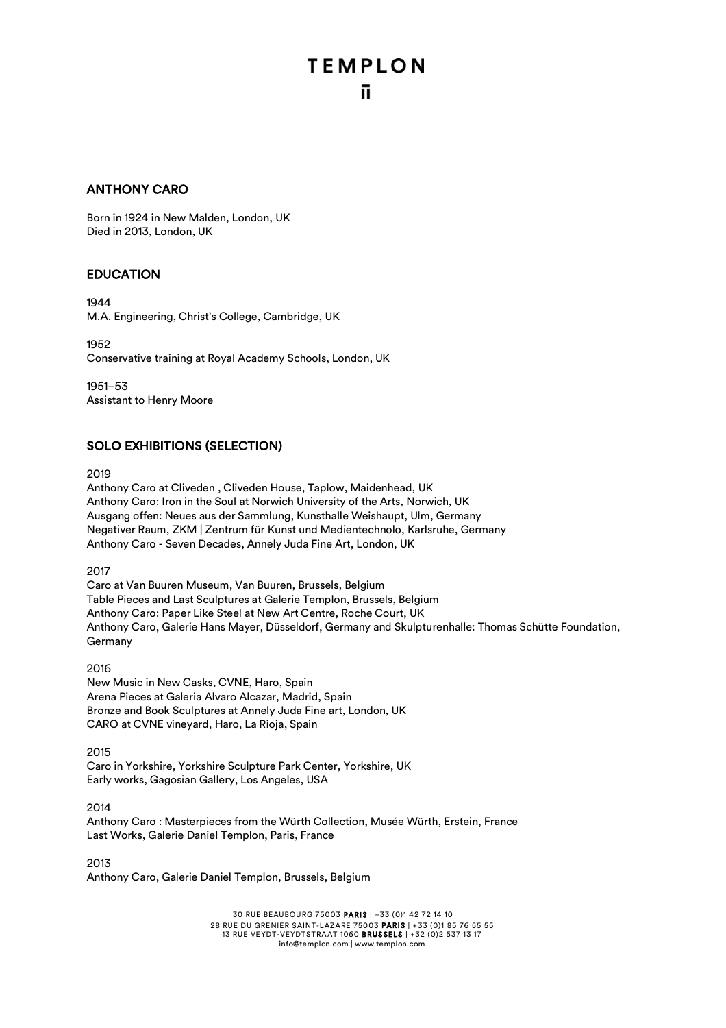### ANTHONY CARO

Born in 1924 in New Malden, London, UK Died in 2013, London, UK

### EDUCATION

1944

M.A. Engineering, Christ's College, Cambridge, UK

1952 Conservative training at Royal Academy Schools, London, UK

1951–53 Assistant to Henry Moore

### SOLO EXHIBITIONS (SELECTION)

2019

Anthony Caro at Cliveden , Cliveden House, Taplow, Maidenhead, UK Anthony Caro: Iron in the Soul at Norwich University of the Arts, Norwich, UK Ausgang offen: Neues aus der Sammlung, Kunsthalle Weishaupt, Ulm, Germany Negativer Raum, ZKM | Zentrum für Kunst und Medientechnolo, Karlsruhe, Germany Anthony Caro - Seven Decades, Annely Juda Fine Art, London, UK

2017

Caro at Van Buuren Museum, Van Buuren, Brussels, Belgium Table Pieces and Last Sculptures at Galerie Templon, Brussels, Belgium Anthony Caro: Paper Like Steel at New Art Centre, Roche Court, UK Anthony Caro, Galerie Hans Mayer, Düsseldorf, Germany and Skulpturenhalle: Thomas Schütte Foundation, Germany

### 2016

New Music in New Casks, CVNE, Haro, Spain Arena Pieces at Galeria Alvaro Alcazar, Madrid, Spain Bronze and Book Sculptures at Annely Juda Fine art, London, UK CARO at CVNE vineyard, Haro, La Rioja, Spain

2015

Caro in Yorkshire, Yorkshire Sculpture Park Center, Yorkshire, UK Early works, Gagosian Gallery, Los Angeles, USA

2014 Anthony Caro : Masterpieces from the Würth Collection, Musée Würth, Erstein, France Last Works, Galerie Daniel Templon, Paris, France

2013

Anthony Caro, Galerie Daniel Templon, Brussels, Belgium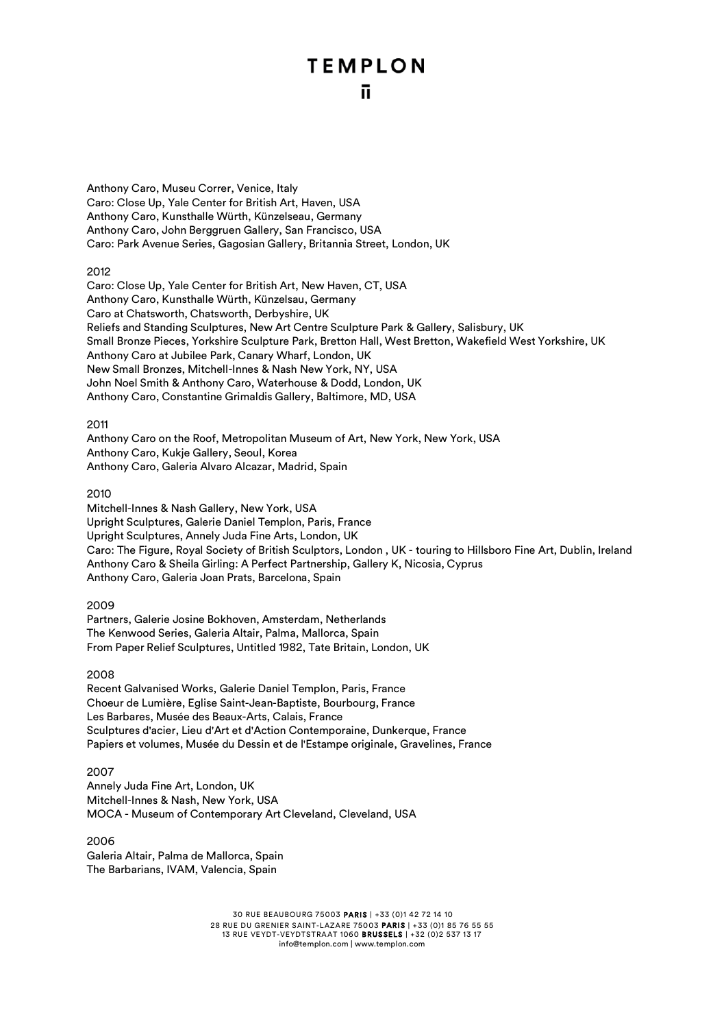Anthony Caro, Museu Correr, Venice, Italy Caro: Close Up, Yale Center for British Art, Haven, USA Anthony Caro, Kunsthalle Würth, Künzelseau, Germany Anthony Caro, John Berggruen Gallery, San Francisco, USA Caro: Park Avenue Series, Gagosian Gallery, Britannia Street, London, UK

### 2012

Caro: Close Up, Yale Center for British Art, New Haven, CT, USA Anthony Caro, Kunsthalle Würth, Künzelsau, Germany Caro at Chatsworth, Chatsworth, Derbyshire, UK Reliefs and Standing Sculptures, New Art Centre Sculpture Park & Gallery, Salisbury, UK Small Bronze Pieces, Yorkshire Sculpture Park, Bretton Hall, West Bretton, Wakefield West Yorkshire, UK Anthony Caro at Jubilee Park, Canary Wharf, London, UK New Small Bronzes, Mitchell-Innes & Nash New York, NY, USA John Noel Smith & Anthony Caro, Waterhouse & Dodd, London, UK Anthony Caro, Constantine Grimaldis Gallery, Baltimore, MD, USA

### 2011

Anthony Caro on the Roof, Metropolitan Museum of Art, New York, New York, USA Anthony Caro, Kukje Gallery, Seoul, Korea Anthony Caro, Galeria Alvaro Alcazar, Madrid, Spain

### 2010

Mitchell-Innes & Nash Gallery, New York, USA Upright Sculptures, Galerie Daniel Templon, Paris, France Upright Sculptures, Annely Juda Fine Arts, London, UK Caro: The Figure, Royal Society of British Sculptors, London , UK - touring to Hillsboro Fine Art, Dublin, Ireland Anthony Caro & Sheila Girling: A Perfect Partnership, Gallery K, Nicosia, Cyprus Anthony Caro, Galeria Joan Prats, Barcelona, Spain

### 2009

Partners, Galerie Josine Bokhoven, Amsterdam, Netherlands The Kenwood Series, Galeria Altair, Palma, Mallorca, Spain From Paper Relief Sculptures, Untitled 1982, Tate Britain, London, UK

### 2008

Recent Galvanised Works, Galerie Daniel Templon, Paris, France Choeur de Lumière, Eglise Saint-Jean-Baptiste, Bourbourg, France Les Barbares, Musée des Beaux-Arts, Calais, France Sculptures d'acier, Lieu d'Art et d'Action Contemporaine, Dunkerque, France Papiers et volumes, Musée du Dessin et de l'Estampe originale, Gravelines, France

### 2007

Annely Juda Fine Art, London, UK Mitchell-Innes & Nash, New York, USA MOCA - Museum of Contemporary Art Cleveland, Cleveland, USA

2006 Galeria Altair, Palma de Mallorca, Spain The Barbarians, IVAM, Valencia, Spain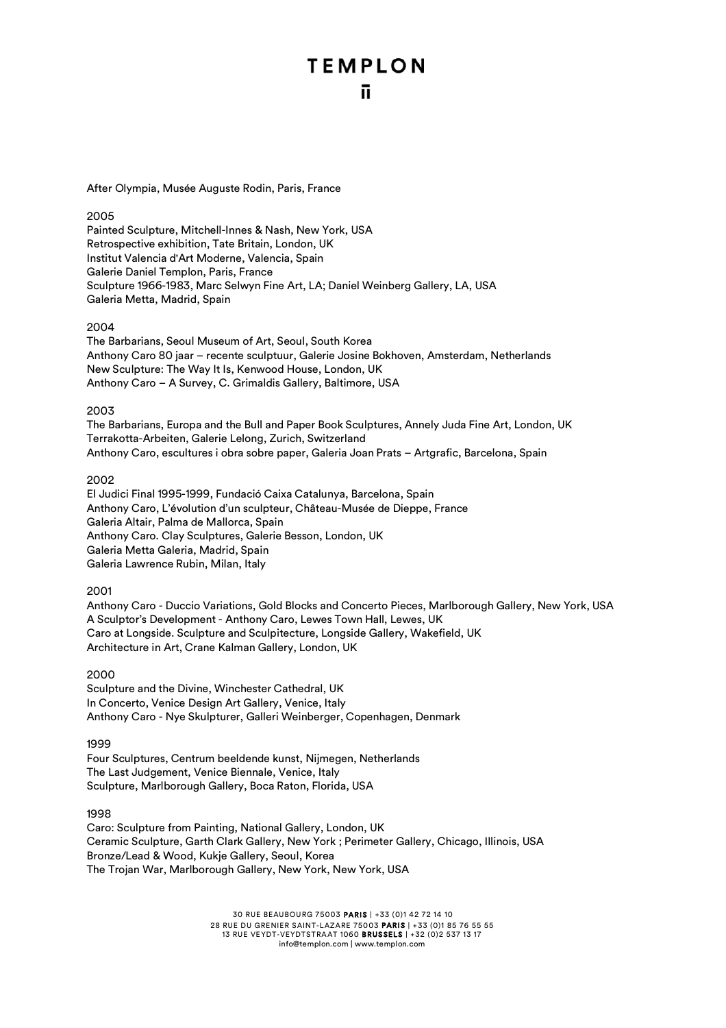After Olympia, Musée Auguste Rodin, Paris, France

### 2005

Painted Sculpture, Mitchell-Innes & Nash, New York, USA Retrospective exhibition, Tate Britain, London, UK Institut Valencia d'Art Moderne, Valencia, Spain Galerie Daniel Templon, Paris, France Sculpture 1966-1983, Marc Selwyn Fine Art, LA; Daniel Weinberg Gallery, LA, USA Galeria Metta, Madrid, Spain

### 2004

The Barbarians, Seoul Museum of Art, Seoul, South Korea Anthony Caro 80 jaar – recente sculptuur, Galerie Josine Bokhoven, Amsterdam, Netherlands New Sculpture: The Way It Is, Kenwood House, London, UK Anthony Caro – A Survey, C. Grimaldis Gallery, Baltimore, USA

### 2003

The Barbarians, Europa and the Bull and Paper Book Sculptures, Annely Juda Fine Art, London, UK Terrakotta-Arbeiten, Galerie Lelong, Zurich, Switzerland Anthony Caro, escultures i obra sobre paper, Galeria Joan Prats – Artgrafic, Barcelona, Spain

### 2002

El Judici Final 1995-1999, Fundació Caixa Catalunya, Barcelona, Spain Anthony Caro, L'évolution d'un sculpteur, Château-Musée de Dieppe, France Galeria Altair, Palma de Mallorca, Spain Anthony Caro. Clay Sculptures, Galerie Besson, London, UK Galeria Metta Galeria, Madrid, Spain Galeria Lawrence Rubin, Milan, Italy

### 2001

Anthony Caro - Duccio Variations, Gold Blocks and Concerto Pieces, Marlborough Gallery, New York, USA A Sculptor's Development - Anthony Caro, Lewes Town Hall, Lewes, UK Caro at Longside. Sculpture and Sculpitecture, Longside Gallery, Wakefield, UK Architecture in Art, Crane Kalman Gallery, London, UK

### 2000

Sculpture and the Divine, Winchester Cathedral, UK In Concerto, Venice Design Art Gallery, Venice, Italy Anthony Caro - Nye Skulpturer, Galleri Weinberger, Copenhagen, Denmark

1999

Four Sculptures, Centrum beeldende kunst, Nijmegen, Netherlands The Last Judgement, Venice Biennale, Venice, Italy Sculpture, Marlborough Gallery, Boca Raton, Florida, USA

1998

Caro: Sculpture from Painting, National Gallery, London, UK Ceramic Sculpture, Garth Clark Gallery, New York ; Perimeter Gallery, Chicago, Illinois, USA Bronze/Lead & Wood, Kukje Gallery, Seoul, Korea The Trojan War, Marlborough Gallery, New York, New York, USA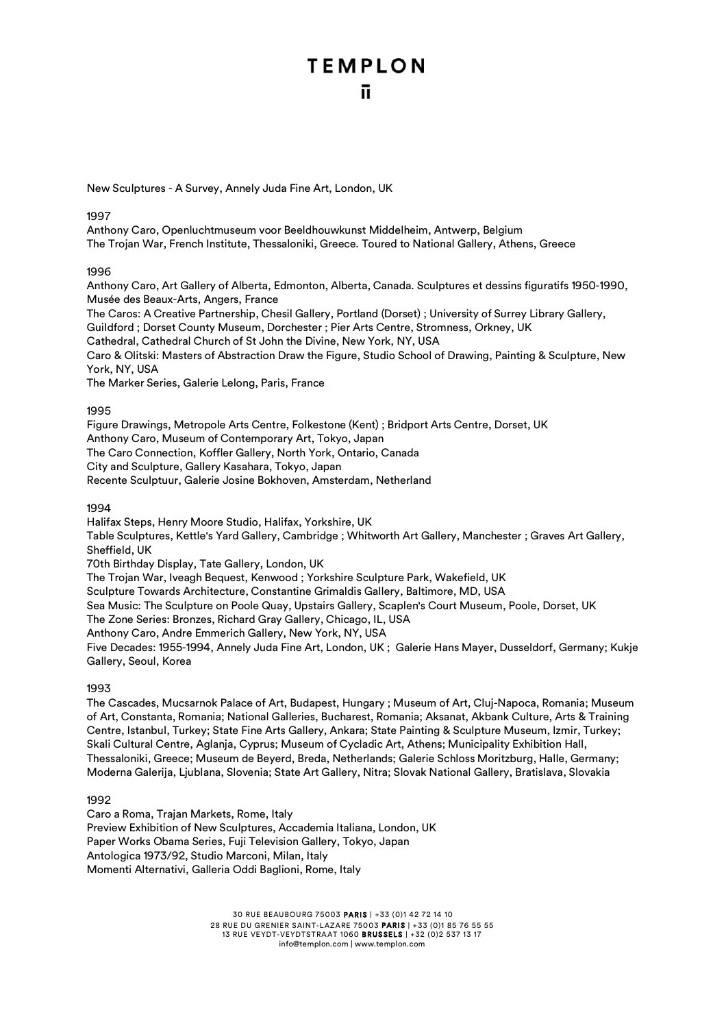New Sculptures - A Survey, Annely Juda Fine Art, London, UK

### 1997

Anthony Caro, Openluchtmuseum voor Beeldhouwkunst Middelheim, Antwerp, Belgium The Trojan War, French Institute, Thessaloniki, Greece. Toured to National Gallery, Athens, Greece

1996

Anthony Caro, Art Gallery of Alberta, Edmonton, Alberta, Canada. Sculptures et dessins figuratifs 1950-1990, Musée des Beaux-Arts, Angers, France

The Caros: A Creative Partnership, Chesil Gallery, Portland (Dorset) ; University of Surrey Library Gallery,

Guildford ; Dorset County Museum, Dorchester ; Pier Arts Centre, Stromness, Orkney, UK

Cathedral, Cathedral Church of St John the Divine, New York, NY, USA

Caro & Olitski: Masters of Abstraction Draw the Figure, Studio School of Drawing, Painting & Sculpture, New York, NY, USA

The Marker Series, Galerie Lelong, Paris, France

1995

Figure Drawings, Metropole Arts Centre, Folkestone (Kent) ; Bridport Arts Centre, Dorset, UK Anthony Caro, Museum of Contemporary Art, Tokyo, Japan The Caro Connection, Koffler Gallery, North York, Ontario, Canada City and Sculpture, Gallery Kasahara, Tokyo, Japan Recente Sculptuur, Galerie Josine Bokhoven, Amsterdam, Netherland

### 1994

Halifax Steps, Henry Moore Studio, Halifax, Yorkshire, UK Table Sculptures, Kettle's Yard Gallery, Cambridge ; Whitworth Art Gallery, Manchester ; Graves Art Gallery, Sheffield, UK 70th Birthday Display, Tate Gallery, London, UK The Trojan War, Iveagh Bequest, Kenwood ; Yorkshire Sculpture Park, Wakefield, UK Sculpture Towards Architecture, Constantine Grimaldis Gallery, Baltimore, MD, USA

Sea Music: The Sculpture on Poole Quay, Upstairs Gallery, Scaplen's Court Museum, Poole, Dorset, UK

The Zone Series: Bronzes, Richard Gray Gallery, Chicago, IL, USA

Anthony Caro, Andre Emmerich Gallery, New York, NY, USA

Five Decades: 1955-1994, Annely Juda Fine Art, London, UK ; Galerie Hans Mayer, Dusseldorf, Germany; Kukje Gallery, Seoul, Korea

1993

The Cascades, Mucsarnok Palace of Art, Budapest, Hungary ; Museum of Art, Cluj-Napoca, Romania; Museum of Art, Constanta, Romania; National Galleries, Bucharest, Romania; Aksanat, Akbank Culture, Arts & Training Centre, Istanbul, Turkey; State Fine Arts Gallery, Ankara; State Painting & Sculpture Museum, Izmir, Turkey; Skali Cultural Centre, Aglanja, Cyprus; Museum of Cycladic Art, Athens; Municipality Exhibition Hall, Thessaloniki, Greece; Museum de Beyerd, Breda, Netherlands; Galerie Schloss Moritzburg, Halle, Germany; Moderna Galerija, Ljublana, Slovenia; State Art Gallery, Nitra; Slovak National Gallery, Bratislava, Slovakia

1992

Caro a Roma, Trajan Markets, Rome, Italy Preview Exhibition of New Sculptures, Accademia Italiana, London, UK Paper Works Obama Series, Fuji Television Gallery, Tokyo, Japan Antologica 1973/92, Studio Marconi, Milan, Italy Momenti Alternativi, Galleria Oddi Baglioni, Rome, Italy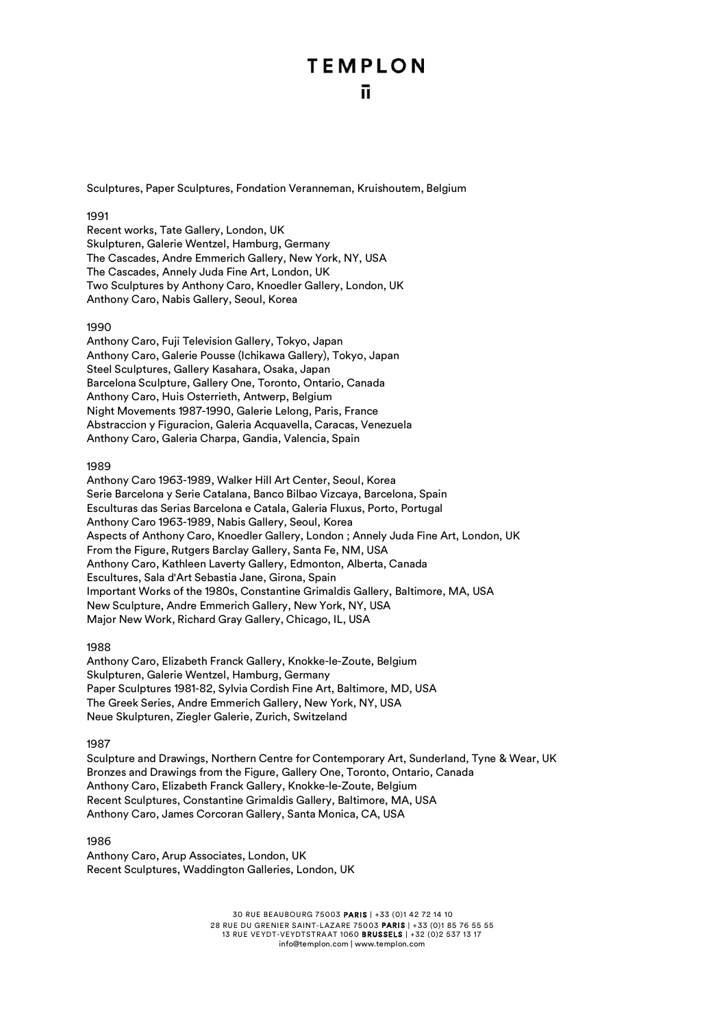Sculptures, Paper Sculptures, Fondation Veranneman, Kruishoutem, Belgium

### 1991

Recent works, Tate Gallery, London, UK Skulpturen, Galerie Wentzel, Hamburg, Germany The Cascades, Andre Emmerich Gallery, New York, NY, USA The Cascades, Annely Juda Fine Art, London, UK Two Sculptures by Anthony Caro, Knoedler Gallery, London, UK Anthony Caro, Nabis Gallery, Seoul, Korea

### 1990

Anthony Caro, Fuji Television Gallery, Tokyo, Japan Anthony Caro, Galerie Pousse (Ichikawa Gallery), Tokyo, Japan Steel Sculptures, Gallery Kasahara, Osaka, Japan Barcelona Sculpture, Gallery One, Toronto, Ontario, Canada Anthony Caro, Huis Osterrieth, Antwerp, Belgium Night Movements 1987-1990, Galerie Lelong, Paris, France Abstraccion y Figuracion, Galeria Acquavella, Caracas, Venezuela Anthony Caro, Galeria Charpa, Gandia, Valencia, Spain

### 1989

Anthony Caro 1963-1989, Walker Hill Art Center, Seoul, Korea Serie Barcelona y Serie Catalana, Banco Bilbao Vizcaya, Barcelona, Spain Esculturas das Serias Barcelona e Catala, Galeria Fluxus, Porto, Portugal Anthony Caro 1963-1989, Nabis Gallery, Seoul, Korea Aspects of Anthony Caro, Knoedler Gallery, London ; Annely Juda Fine Art, London, UK From the Figure, Rutgers Barclay Gallery, Santa Fe, NM, USA Anthony Caro, Kathleen Laverty Gallery, Edmonton, Alberta, Canada Escultures, Sala d'Art Sebastia Jane, Girona, Spain Important Works of the 1980s, Constantine Grimaldis Gallery, Baltimore, MA, USA New Sculpture, Andre Emmerich Gallery, New York, NY, USA Major New Work, Richard Gray Gallery, Chicago, IL, USA

### 1988

Anthony Caro, Elizabeth Franck Gallery, Knokke-le-Zoute, Belgium Skulpturen, Galerie Wentzel, Hamburg, Germany Paper Sculptures 1981-82, Sylvia Cordish Fine Art, Baltimore, MD, USA The Greek Series, Andre Emmerich Gallery, New York, NY, USA Neue Skulpturen, Ziegler Galerie, Zurich, Switzeland

### 1987

Sculpture and Drawings, Northern Centre for Contemporary Art, Sunderland, Tyne & Wear, UK Bronzes and Drawings from the Figure, Gallery One, Toronto, Ontario, Canada Anthony Caro, Elizabeth Franck Gallery, Knokke-le-Zoute, Belgium Recent Sculptures, Constantine Grimaldis Gallery, Baltimore, MA, USA Anthony Caro, James Corcoran Gallery, Santa Monica, CA, USA

### 1986

Anthony Caro, Arup Associates, London, UK Recent Sculptures, Waddington Galleries, London, UK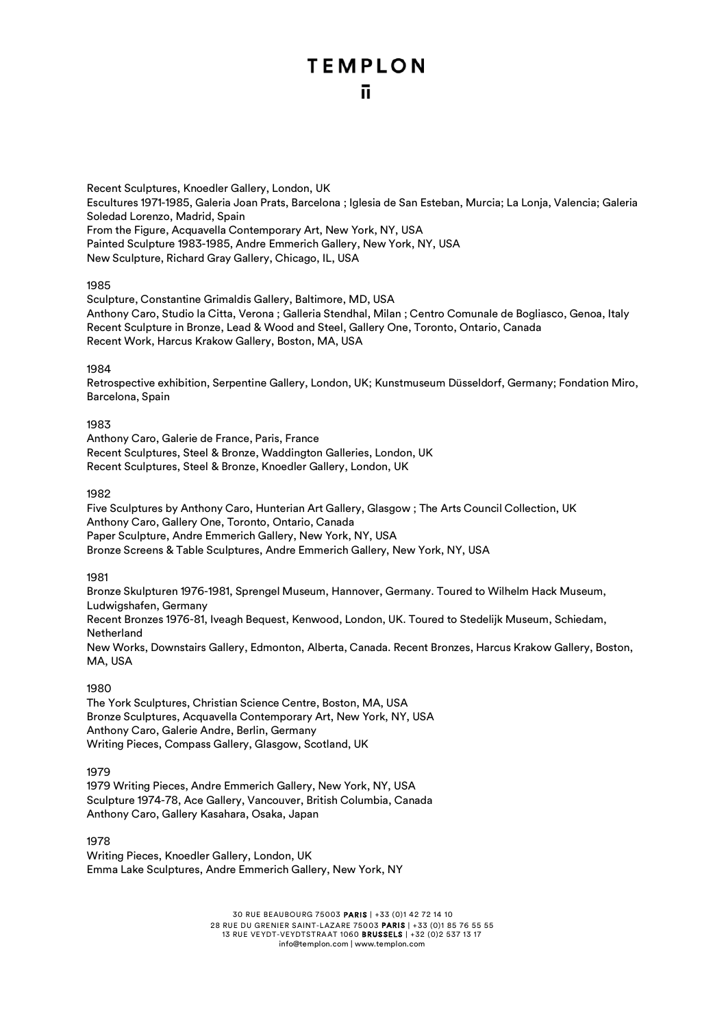Recent Sculptures, Knoedler Gallery, London, UK Escultures 1971-1985, Galeria Joan Prats, Barcelona ; Iglesia de San Esteban, Murcia; La Lonja, Valencia; Galeria Soledad Lorenzo, Madrid, Spain From the Figure, Acquavella Contemporary Art, New York, NY, USA Painted Sculpture 1983-1985, Andre Emmerich Gallery, New York, NY, USA New Sculpture, Richard Gray Gallery, Chicago, IL, USA

### 1985

Sculpture, Constantine Grimaldis Gallery, Baltimore, MD, USA Anthony Caro, Studio la Citta, Verona ; Galleria Stendhal, Milan ; Centro Comunale de Bogliasco, Genoa, Italy Recent Sculpture in Bronze, Lead & Wood and Steel, Gallery One, Toronto, Ontario, Canada Recent Work, Harcus Krakow Gallery, Boston, MA, USA

### 1984

Retrospective exhibition, Serpentine Gallery, London, UK; Kunstmuseum Düsseldorf, Germany; Fondation Miro, Barcelona, Spain

### 1983

Anthony Caro, Galerie de France, Paris, France Recent Sculptures, Steel & Bronze, Waddington Galleries, London, UK Recent Sculptures, Steel & Bronze, Knoedler Gallery, London, UK

### 1982

Five Sculptures by Anthony Caro, Hunterian Art Gallery, Glasgow ; The Arts Council Collection, UK Anthony Caro, Gallery One, Toronto, Ontario, Canada Paper Sculpture, Andre Emmerich Gallery, New York, NY, USA Bronze Screens & Table Sculptures, Andre Emmerich Gallery, New York, NY, USA

### 1981

Bronze Skulpturen 1976-1981, Sprengel Museum, Hannover, Germany. Toured to Wilhelm Hack Museum, Ludwigshafen, Germany Recent Bronzes 1976-81, Iveagh Bequest, Kenwood, London, UK. Toured to Stedelijk Museum, Schiedam, Netherland New Works, Downstairs Gallery, Edmonton, Alberta, Canada. Recent Bronzes, Harcus Krakow Gallery, Boston, MA, USA

### 1980

The York Sculptures, Christian Science Centre, Boston, MA, USA Bronze Sculptures, Acquavella Contemporary Art, New York, NY, USA Anthony Caro, Galerie Andre, Berlin, Germany Writing Pieces, Compass Gallery, Glasgow, Scotland, UK

1979

1979 Writing Pieces, Andre Emmerich Gallery, New York, NY, USA Sculpture 1974-78, Ace Gallery, Vancouver, British Columbia, Canada Anthony Caro, Gallery Kasahara, Osaka, Japan

1978

Writing Pieces, Knoedler Gallery, London, UK Emma Lake Sculptures, Andre Emmerich Gallery, New York, NY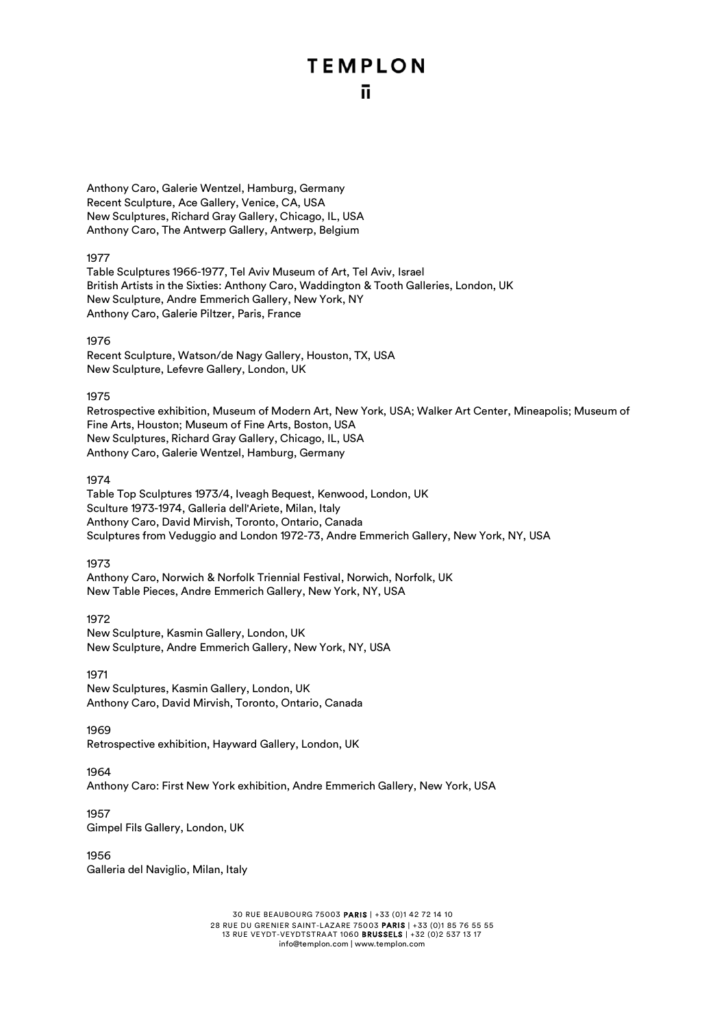Anthony Caro, Galerie Wentzel, Hamburg, Germany Recent Sculpture, Ace Gallery, Venice, CA, USA New Sculptures, Richard Gray Gallery, Chicago, IL, USA Anthony Caro, The Antwerp Gallery, Antwerp, Belgium

### 1977

Table Sculptures 1966-1977, Tel Aviv Museum of Art, Tel Aviv, Israel British Artists in the Sixties: Anthony Caro, Waddington & Tooth Galleries, London, UK New Sculpture, Andre Emmerich Gallery, New York, NY Anthony Caro, Galerie Piltzer, Paris, France

### 1976

Recent Sculpture, Watson/de Nagy Gallery, Houston, TX, USA New Sculpture, Lefevre Gallery, London, UK

### 1975

Retrospective exhibition, Museum of Modern Art, New York, USA; Walker Art Center, Mineapolis; Museum of Fine Arts, Houston; Museum of Fine Arts, Boston, USA New Sculptures, Richard Gray Gallery, Chicago, IL, USA Anthony Caro, Galerie Wentzel, Hamburg, Germany

### 1974

Table Top Sculptures 1973/4, Iveagh Bequest, Kenwood, London, UK Sculture 1973-1974, Galleria dell'Ariete, Milan, Italy Anthony Caro, David Mirvish, Toronto, Ontario, Canada Sculptures from Veduggio and London 1972-73, Andre Emmerich Gallery, New York, NY, USA

### 1973

Anthony Caro, Norwich & Norfolk Triennial Festival, Norwich, Norfolk, UK New Table Pieces, Andre Emmerich Gallery, New York, NY, USA

### 1972

New Sculpture, Kasmin Gallery, London, UK New Sculpture, Andre Emmerich Gallery, New York, NY, USA

### 1971

New Sculptures, Kasmin Gallery, London, UK Anthony Caro, David Mirvish, Toronto, Ontario, Canada

### 1969

Retrospective exhibition, Hayward Gallery, London, UK

### 1964

Anthony Caro: First New York exhibition, Andre Emmerich Gallery, New York, USA

### 1957

Gimpel Fils Gallery, London, UK

1956 Galleria del Naviglio, Milan, Italy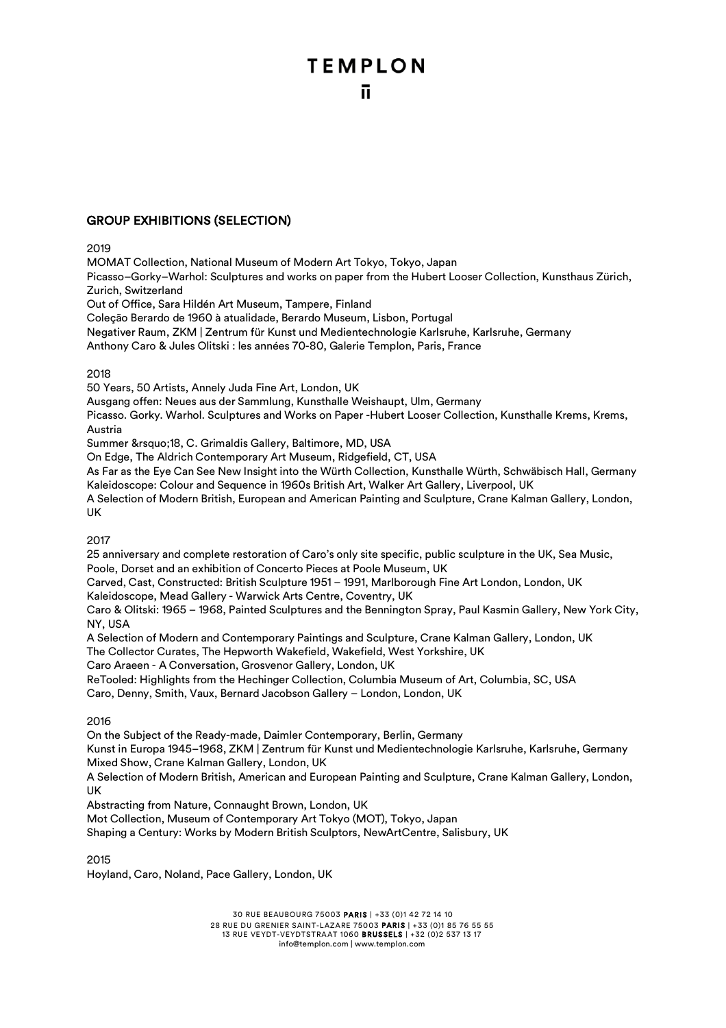### GROUP EXHIBITIONS (SELECTION)

### 2019

MOMAT Collection, National Museum of Modern Art Tokyo, Tokyo, Japan Picasso–Gorky–Warhol: Sculptures and works on paper from the Hubert Looser Collection, Kunsthaus Zürich, Zurich, Switzerland Out of Office, Sara Hildén Art Museum, Tampere, Finland

Coleção Berardo de 1960 à atualidade, Berardo Museum, Lisbon, Portugal

Negativer Raum, ZKM | Zentrum für Kunst und Medientechnologie Karlsruhe, Karlsruhe, Germany

Anthony Caro & Jules Olitski : les années 70-80, Galerie Templon, Paris, France

### 2018

50 Years, 50 Artists, Annely Juda Fine Art, London, UK

Ausgang offen: Neues aus der Sammlung, Kunsthalle Weishaupt, Ulm, Germany

Picasso. Gorky. Warhol. Sculptures and Works on Paper -Hubert Looser Collection, Kunsthalle Krems, Krems, Austria

Summer '18, C. Grimaldis Gallery, Baltimore, MD, USA

On Edge, The Aldrich Contemporary Art Museum, Ridgefield, CT, USA

As Far as the Eye Can See New Insight into the Würth Collection, Kunsthalle Würth, Schwäbisch Hall, Germany Kaleidoscope: Colour and Sequence in 1960s British Art, Walker Art Gallery, Liverpool, UK

A Selection of Modern British, European and American Painting and Sculpture, Crane Kalman Gallery, London, UK

### 2017

25 anniversary and complete restoration of Caro's only site specific, public sculpture in the UK, Sea Music, Poole, Dorset and an exhibition of Concerto Pieces at Poole Museum, UK

Carved, Cast, Constructed: British Sculpture 1951 – 1991, Marlborough Fine Art London, London, UK

Kaleidoscope, Mead Gallery - Warwick Arts Centre, Coventry, UK

Caro & Olitski: 1965 – 1968, Painted Sculptures and the Bennington Spray, Paul Kasmin Gallery, New York City, NY, USA

A Selection of Modern and Contemporary Paintings and Sculpture, Crane Kalman Gallery, London, UK

The Collector Curates, The Hepworth Wakefield, Wakefield, West Yorkshire, UK

Caro Araeen - A Conversation, Grosvenor Gallery, London, UK

ReTooled: Highlights from the Hechinger Collection, Columbia Museum of Art, Columbia, SC, USA

Caro, Denny, Smith, Vaux, Bernard Jacobson Gallery – London, London, UK

### 2016

On the Subject of the Ready-made, Daimler Contemporary, Berlin, Germany

Kunst in Europa 1945–1968, ZKM | Zentrum für Kunst und Medientechnologie Karlsruhe, Karlsruhe, Germany Mixed Show, Crane Kalman Gallery, London, UK

A Selection of Modern British, American and European Painting and Sculpture, Crane Kalman Gallery, London, UK

Abstracting from Nature, Connaught Brown, London, UK

Mot Collection, Museum of Contemporary Art Tokyo (MOT), Tokyo, Japan

Shaping a Century: Works by Modern British Sculptors, NewArtCentre, Salisbury, UK

2015

Hoyland, Caro, Noland, Pace Gallery, London, UK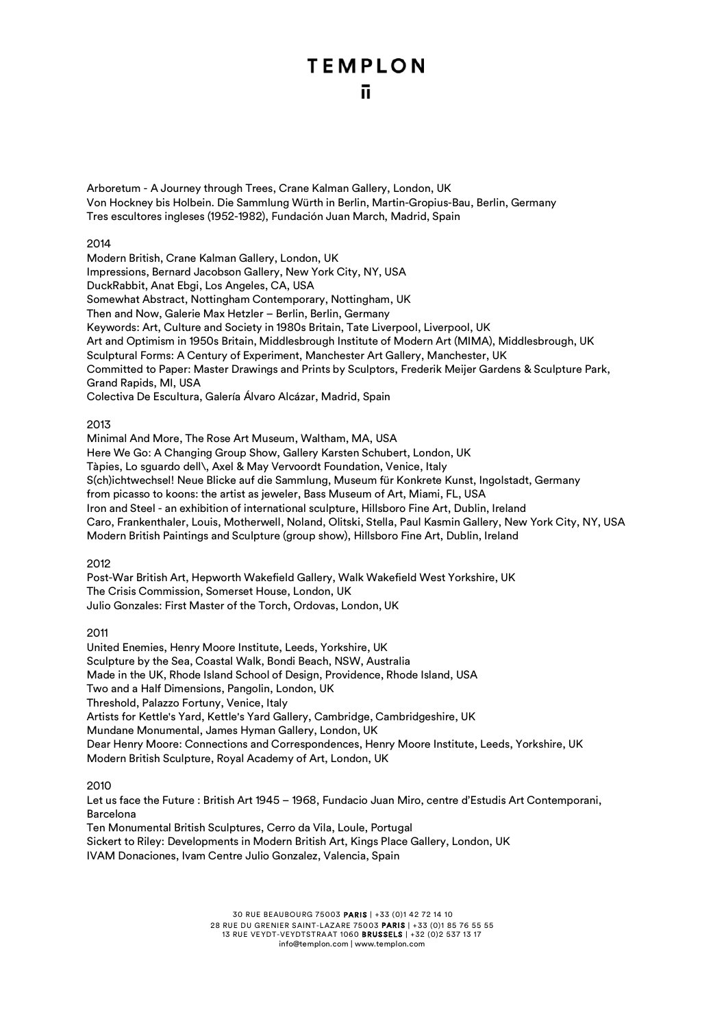Arboretum - A Journey through Trees, Crane Kalman Gallery, London, UK Von Hockney bis Holbein. Die Sammlung Würth in Berlin, Martin-Gropius-Bau, Berlin, Germany Tres escultores ingleses (1952-1982), Fundación Juan March, Madrid, Spain

### 2014

Modern British, Crane Kalman Gallery, London, UK Impressions, Bernard Jacobson Gallery, New York City, NY, USA DuckRabbit, Anat Ebgi, Los Angeles, CA, USA Somewhat Abstract, Nottingham Contemporary, Nottingham, UK Then and Now, Galerie Max Hetzler – Berlin, Berlin, Germany Keywords: Art, Culture and Society in 1980s Britain, Tate Liverpool, Liverpool, UK Art and Optimism in 1950s Britain, Middlesbrough Institute of Modern Art (MIMA), Middlesbrough, UK Sculptural Forms: A Century of Experiment, Manchester Art Gallery, Manchester, UK Committed to Paper: Master Drawings and Prints by Sculptors, Frederik Meijer Gardens & Sculpture Park, Grand Rapids, MI, USA Colectiva De Escultura, Galería Álvaro Alcázar, Madrid, Spain

### 2013

Minimal And More, The Rose Art Museum, Waltham, MA, USA Here We Go: A Changing Group Show, Gallery Karsten Schubert, London, UK Tàpies, Lo sguardo dell\, Axel & May Vervoordt Foundation, Venice, Italy S(ch)ichtwechsel! Neue Blicke auf die Sammlung, Museum für Konkrete Kunst, Ingolstadt, Germany from picasso to koons: the artist as jeweler, Bass Museum of Art, Miami, FL, USA Iron and Steel - an exhibition of international sculpture, Hillsboro Fine Art, Dublin, Ireland Caro, Frankenthaler, Louis, Motherwell, Noland, Olitski, Stella, Paul Kasmin Gallery, New York City, NY, USA Modern British Paintings and Sculpture (group show), Hillsboro Fine Art, Dublin, Ireland

### 2012

Post-War British Art, Hepworth Wakefield Gallery, Walk Wakefield West Yorkshire, UK The Crisis Commission, Somerset House, London, UK Julio Gonzales: First Master of the Torch, Ordovas, London, UK

2011

United Enemies, Henry Moore Institute, Leeds, Yorkshire, UK Sculpture by the Sea, Coastal Walk, Bondi Beach, NSW, Australia Made in the UK, Rhode Island School of Design, Providence, Rhode Island, USA Two and a Half Dimensions, Pangolin, London, UK Threshold, Palazzo Fortuny, Venice, Italy Artists for Kettle's Yard, Kettle's Yard Gallery, Cambridge, Cambridgeshire, UK Mundane Monumental, James Hyman Gallery, London, UK Dear Henry Moore: Connections and Correspondences, Henry Moore Institute, Leeds, Yorkshire, UK Modern British Sculpture, Royal Academy of Art, London, UK

### 2010

Let us face the Future : British Art 1945 – 1968, Fundacio Juan Miro, centre d'Estudis Art Contemporani, Barcelona

Ten Monumental British Sculptures, Cerro da Vila, Loule, Portugal Sickert to Riley: Developments in Modern British Art, Kings Place Gallery, London, UK IVAM Donaciones, Ivam Centre Julio Gonzalez, Valencia, Spain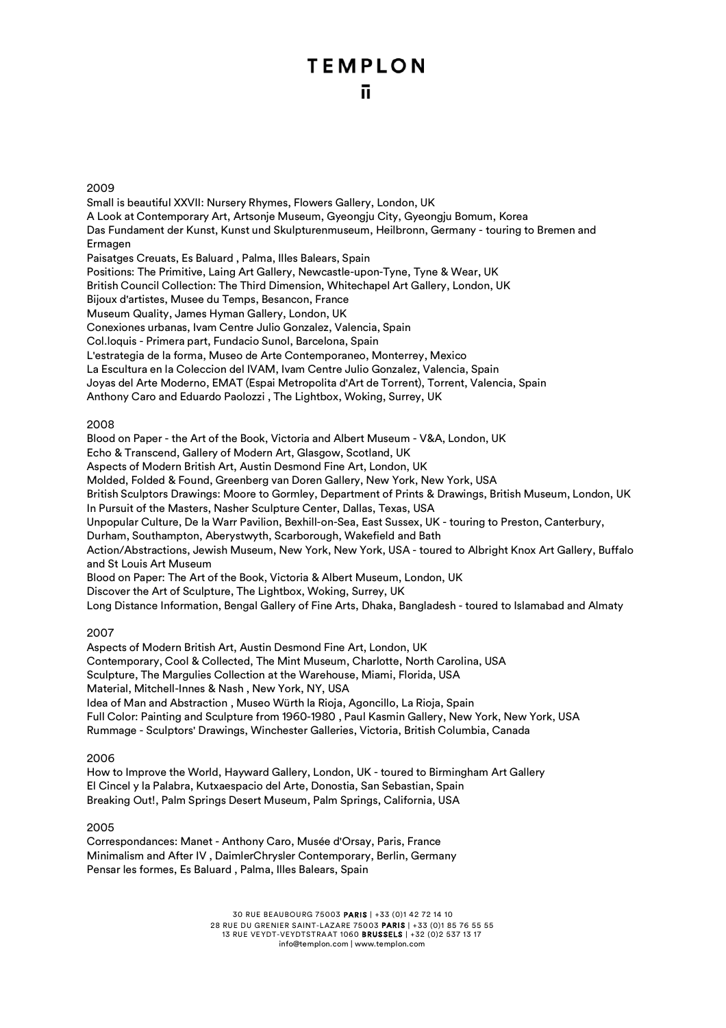### 2009

Small is beautiful XXVII: Nursery Rhymes, Flowers Gallery, London, UK A Look at Contemporary Art, Artsonje Museum, Gyeongju City, Gyeongju Bomum, Korea Das Fundament der Kunst, Kunst und Skulpturenmuseum, Heilbronn, Germany - touring to Bremen and Ermagen Paisatges Creuats, Es Baluard , Palma, Illes Balears, Spain Positions: The Primitive, Laing Art Gallery, Newcastle-upon-Tyne, Tyne & Wear, UK British Council Collection: The Third Dimension, Whitechapel Art Gallery, London, UK Bijoux d'artistes, Musee du Temps, Besancon, France Museum Quality, James Hyman Gallery, London, UK Conexiones urbanas, Ivam Centre Julio Gonzalez, Valencia, Spain Col.loquis - Primera part, Fundacio Sunol, Barcelona, Spain L'estrategia de la forma, Museo de Arte Contemporaneo, Monterrey, Mexico La Escultura en la Coleccion del IVAM, Ivam Centre Julio Gonzalez, Valencia, Spain Joyas del Arte Moderno, EMAT (Espai Metropolita d'Art de Torrent), Torrent, Valencia, Spain Anthony Caro and Eduardo Paolozzi , The Lightbox, Woking, Surrey, UK 2008 Blood on Paper - the Art of the Book, Victoria and Albert Museum - V&A, London, UK Echo & Transcend, Gallery of Modern Art, Glasgow, Scotland, UK Aspects of Modern British Art, Austin Desmond Fine Art, London, UK Molded, Folded & Found, Greenberg van Doren Gallery, New York, New York, USA British Sculptors Drawings: Moore to Gormley, Department of Prints & Drawings, British Museum, London, UK In Pursuit of the Masters, Nasher Sculpture Center, Dallas, Texas, USA Unpopular Culture, De la Warr Pavilion, Bexhill-on-Sea, East Sussex, UK - touring to Preston, Canterbury, Durham, Southampton, Aberystwyth, Scarborough, Wakefield and Bath Action/Abstractions, Jewish Museum, New York, New York, USA - toured to Albright Knox Art Gallery, Buffalo and St Louis Art Museum Blood on Paper: The Art of the Book, Victoria & Albert Museum, London, UK

Discover the Art of Sculpture, The Lightbox, Woking, Surrey, UK

Long Distance Information, Bengal Gallery of Fine Arts, Dhaka, Bangladesh - toured to Islamabad and Almaty

### 2007

Aspects of Modern British Art, Austin Desmond Fine Art, London, UK Contemporary, Cool & Collected, The Mint Museum, Charlotte, North Carolina, USA Sculpture, The Margulies Collection at the Warehouse, Miami, Florida, USA Material, Mitchell-Innes & Nash , New York, NY, USA Idea of Man and Abstraction , Museo Würth la Rioja, Agoncillo, La Rioja, Spain Full Color: Painting and Sculpture from 1960-1980 , Paul Kasmin Gallery, New York, New York, USA Rummage - Sculptors' Drawings, Winchester Galleries, Victoria, British Columbia, Canada

### 2006

How to Improve the World, Hayward Gallery, London, UK - toured to Birmingham Art Gallery El Cincel y la Palabra, Kutxaespacio del Arte, Donostia, San Sebastian, Spain Breaking Out!, Palm Springs Desert Museum, Palm Springs, California, USA

### 2005

Correspondances: Manet - Anthony Caro, Musée d'Orsay, Paris, France Minimalism and After IV , DaimlerChrysler Contemporary, Berlin, Germany Pensar les formes, Es Baluard , Palma, Illes Balears, Spain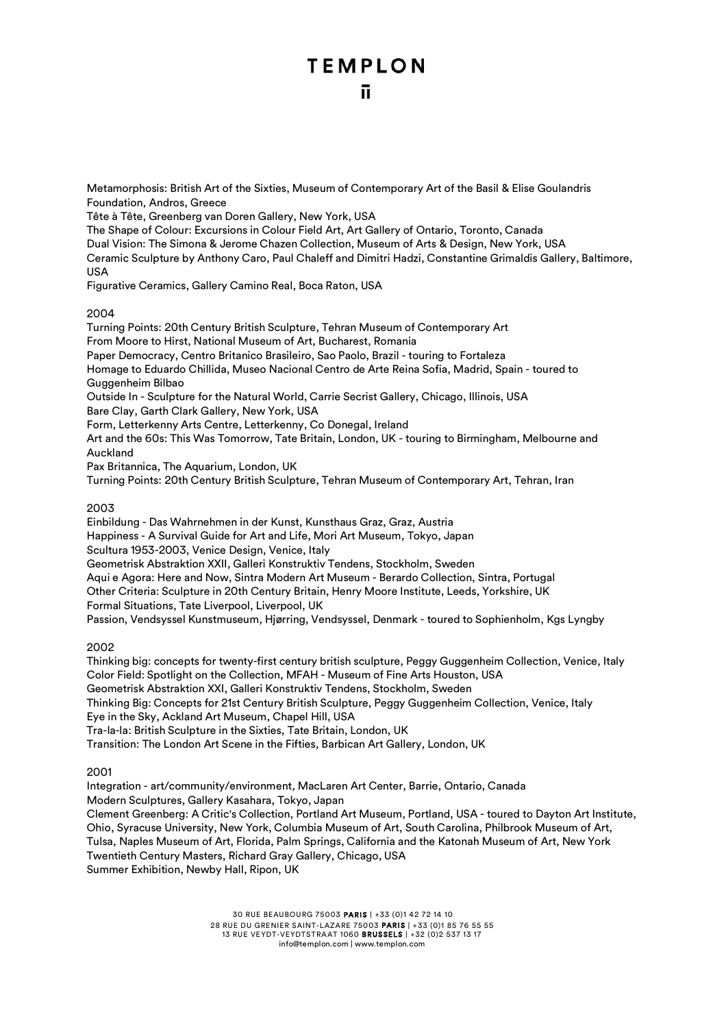Metamorphosis: British Art of the Sixties, Museum of Contemporary Art of the Basil & Elise Goulandris Foundation, Andros, Greece

Tête à Tête, Greenberg van Doren Gallery, New York, USA

The Shape of Colour: Excursions in Colour Field Art, Art Gallery of Ontario, Toronto, Canada Dual Vision: The Simona & Jerome Chazen Collection, Museum of Arts & Design, New York, USA Ceramic Sculpture by Anthony Caro, Paul Chaleff and Dimitri Hadzi, Constantine Grimaldis Gallery, Baltimore, USA

Figurative Ceramics, Gallery Camino Real, Boca Raton, USA

### 2004

Turning Points: 20th Century British Sculpture, Tehran Museum of Contemporary Art From Moore to Hirst, National Museum of Art, Bucharest, Romania Paper Democracy, Centro Britanico Brasileiro, Sao Paolo, Brazil - touring to Fortaleza Homage to Eduardo Chillida, Museo Nacional Centro de Arte Reina Sofia, Madrid, Spain - toured to Guggenheim Bilbao Outside In - Sculpture for the Natural World, Carrie Secrist Gallery, Chicago, Illinois, USA Bare Clay, Garth Clark Gallery, New York, USA Form, Letterkenny Arts Centre, Letterkenny, Co Donegal, Ireland Art and the 60s: This Was Tomorrow, Tate Britain, London, UK - touring to Birmingham, Melbourne and Auckland Pax Britannica, The Aquarium, London, UK Turning Points: 20th Century British Sculpture, Tehran Museum of Contemporary Art, Tehran, Iran 2003

Einbildung - Das Wahrnehmen in der Kunst, Kunsthaus Graz, Graz, Austria Happiness - A Survival Guide for Art and Life, Mori Art Museum, Tokyo, Japan Scultura 1953-2003, Venice Design, Venice, Italy Geometrisk Abstraktion XXII, Galleri Konstruktiv Tendens, Stockholm, Sweden Aqui e Agora: Here and Now, Sintra Modern Art Museum - Berardo Collection, Sintra, Portugal Other Criteria: Sculpture in 20th Century Britain, Henry Moore Institute, Leeds, Yorkshire, UK Formal Situations, Tate Liverpool, Liverpool, UK Passion, Vendsyssel Kunstmuseum, Hjørring, Vendsyssel, Denmark - toured to Sophienholm, Kgs Lyngby

2002

Thinking big: concepts for twenty-first century british sculpture, Peggy Guggenheim Collection, Venice, Italy Color Field: Spotlight on the Collection, MFAH - Museum of Fine Arts Houston, USA Geometrisk Abstraktion XXI, Galleri Konstruktiv Tendens, Stockholm, Sweden Thinking Big: Concepts for 21st Century British Sculpture, Peggy Guggenheim Collection, Venice, Italy Eye in the Sky, Ackland Art Museum, Chapel Hill, USA Tra-la-la: British Sculpture in the Sixties, Tate Britain, London, UK Transition: The London Art Scene in the Fifties, Barbican Art Gallery, London, UK

2001

Integration - art/community/environment, MacLaren Art Center, Barrie, Ontario, Canada Modern Sculptures, Gallery Kasahara, Tokyo, Japan Clement Greenberg: A Critic's Collection, Portland Art Museum, Portland, USA - toured to Dayton Art Institute, Ohio, Syracuse University, New York, Columbia Museum of Art, South Carolina, Philbrook Museum of Art, Tulsa, Naples Museum of Art, Florida, Palm Springs, California and the Katonah Museum of Art, New York Twentieth Century Masters, Richard Gray Gallery, Chicago, USA Summer Exhibition, Newby Hall, Ripon, UK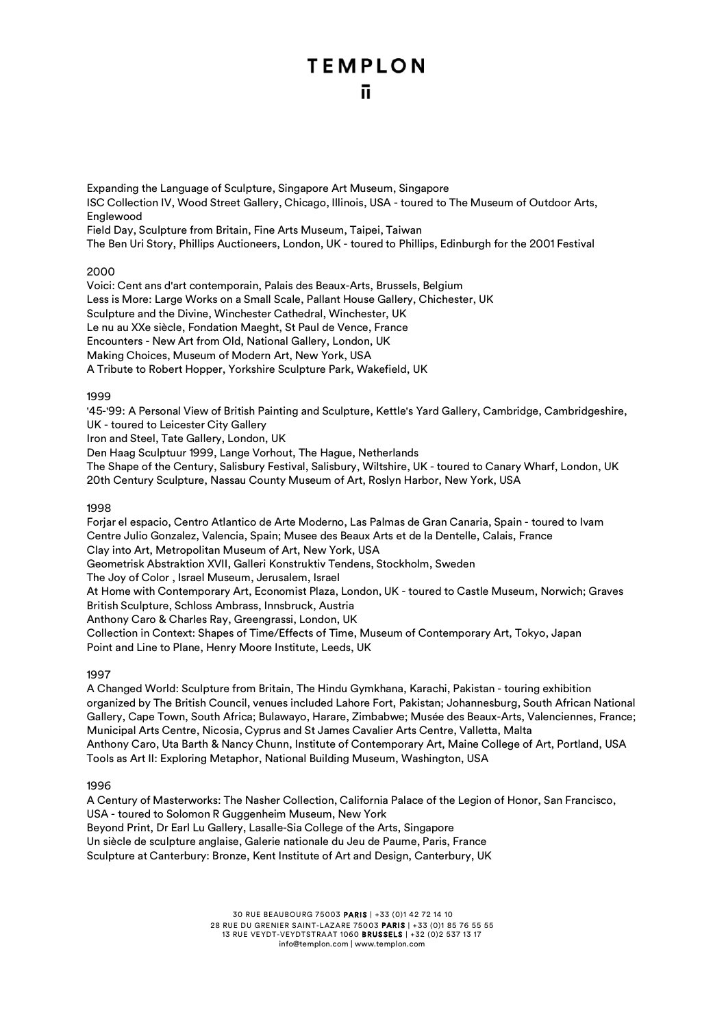Expanding the Language of Sculpture, Singapore Art Museum, Singapore ISC Collection IV, Wood Street Gallery, Chicago, Illinois, USA - toured to The Museum of Outdoor Arts, Englewood Field Day, Sculpture from Britain, Fine Arts Museum, Taipei, Taiwan The Ben Uri Story, Phillips Auctioneers, London, UK - toured to Phillips, Edinburgh for the 2001 Festival

2000

Voici: Cent ans d'art contemporain, Palais des Beaux-Arts, Brussels, Belgium Less is More: Large Works on a Small Scale, Pallant House Gallery, Chichester, UK Sculpture and the Divine, Winchester Cathedral, Winchester, UK Le nu au XXe siècle, Fondation Maeght, St Paul de Vence, France Encounters - New Art from Old, National Gallery, London, UK Making Choices, Museum of Modern Art, New York, USA A Tribute to Robert Hopper, Yorkshire Sculpture Park, Wakefield, UK

### 1999

'45-'99: A Personal View of British Painting and Sculpture, Kettle's Yard Gallery, Cambridge, Cambridgeshire, UK - toured to Leicester City Gallery

Iron and Steel, Tate Gallery, London, UK

Den Haag Sculptuur 1999, Lange Vorhout, The Hague, Netherlands

The Shape of the Century, Salisbury Festival, Salisbury, Wiltshire, UK - toured to Canary Wharf, London, UK 20th Century Sculpture, Nassau County Museum of Art, Roslyn Harbor, New York, USA

### 1998

Forjar el espacio, Centro Atlantico de Arte Moderno, Las Palmas de Gran Canaria, Spain - toured to Ivam Centre Julio Gonzalez, Valencia, Spain; Musee des Beaux Arts et de la Dentelle, Calais, France Clay into Art, Metropolitan Museum of Art, New York, USA Geometrisk Abstraktion XVII, Galleri Konstruktiv Tendens, Stockholm, Sweden The Joy of Color , Israel Museum, Jerusalem, Israel At Home with Contemporary Art, Economist Plaza, London, UK - toured to Castle Museum, Norwich; Graves British Sculpture, Schloss Ambrass, Innsbruck, Austria Anthony Caro & Charles Ray, Greengrassi, London, UK Collection in Context: Shapes of Time/Effects of Time, Museum of Contemporary Art, Tokyo, Japan Point and Line to Plane, Henry Moore Institute, Leeds, UK

### 1997

A Changed World: Sculpture from Britain, The Hindu Gymkhana, Karachi, Pakistan - touring exhibition organized by The British Council, venues included Lahore Fort, Pakistan; Johannesburg, South African National Gallery, Cape Town, South Africa; Bulawayo, Harare, Zimbabwe; Musée des Beaux-Arts, Valenciennes, France; Municipal Arts Centre, Nicosia, Cyprus and St James Cavalier Arts Centre, Valletta, Malta Anthony Caro, Uta Barth & Nancy Chunn, Institute of Contemporary Art, Maine College of Art, Portland, USA Tools as Art II: Exploring Metaphor, National Building Museum, Washington, USA

1996

A Century of Masterworks: The Nasher Collection, California Palace of the Legion of Honor, San Francisco, USA - toured to Solomon R Guggenheim Museum, New York Beyond Print, Dr Earl Lu Gallery, Lasalle-Sia College of the Arts, Singapore Un siècle de sculpture anglaise, Galerie nationale du Jeu de Paume, Paris, France Sculpture at Canterbury: Bronze, Kent Institute of Art and Design, Canterbury, UK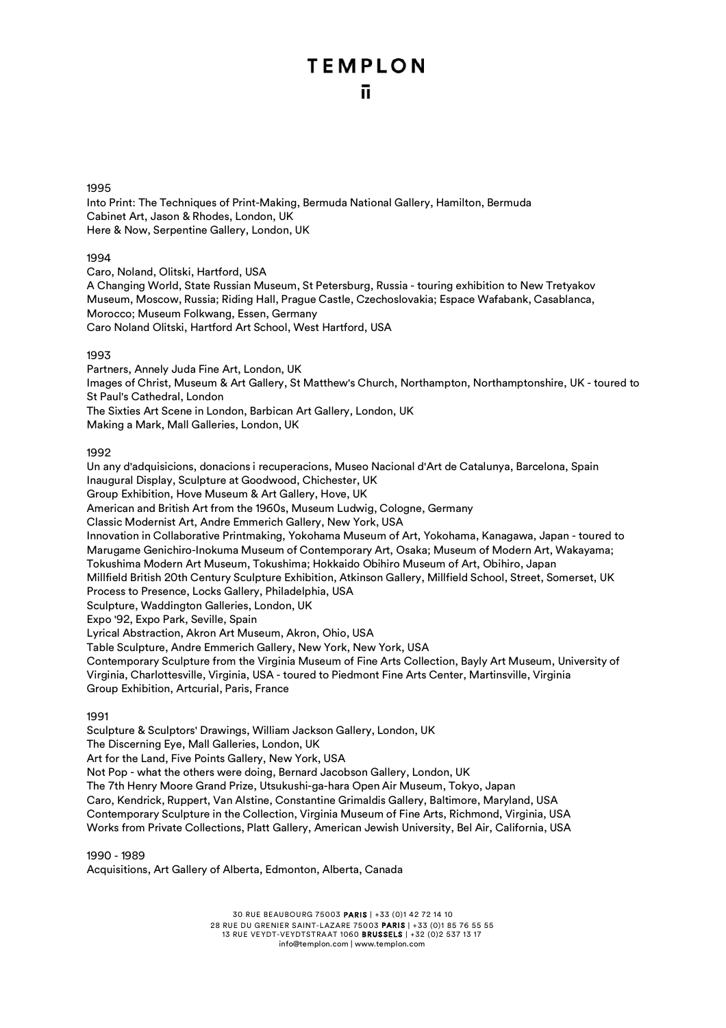### 1995

Into Print: The Techniques of Print-Making, Bermuda National Gallery, Hamilton, Bermuda Cabinet Art, Jason & Rhodes, London, UK Here & Now, Serpentine Gallery, London, UK

### 1994

Caro, Noland, Olitski, Hartford, USA

A Changing World, State Russian Museum, St Petersburg, Russia - touring exhibition to New Tretyakov Museum, Moscow, Russia; Riding Hall, Prague Castle, Czechoslovakia; Espace Wafabank, Casablanca, Morocco; Museum Folkwang, Essen, Germany Caro Noland Olitski, Hartford Art School, West Hartford, USA

### 1993

Partners, Annely Juda Fine Art, London, UK Images of Christ, Museum & Art Gallery, St Matthew's Church, Northampton, Northamptonshire, UK - toured to St Paul's Cathedral, London The Sixties Art Scene in London, Barbican Art Gallery, London, UK Making a Mark, Mall Galleries, London, UK

### 1992

Un any d'adquisicions, donacions i recuperacions, Museo Nacional d'Art de Catalunya, Barcelona, Spain Inaugural Display, Sculpture at Goodwood, Chichester, UK Group Exhibition, Hove Museum & Art Gallery, Hove, UK

American and British Art from the 1960s, Museum Ludwig, Cologne, Germany

Classic Modernist Art, Andre Emmerich Gallery, New York, USA

Innovation in Collaborative Printmaking, Yokohama Museum of Art, Yokohama, Kanagawa, Japan - toured to Marugame Genichiro-Inokuma Museum of Contemporary Art, Osaka; Museum of Modern Art, Wakayama; Tokushima Modern Art Museum, Tokushima; Hokkaido Obihiro Museum of Art, Obihiro, Japan

Millfield British 20th Century Sculpture Exhibition, Atkinson Gallery, Millfield School, Street, Somerset, UK Process to Presence, Locks Gallery, Philadelphia, USA

Sculpture, Waddington Galleries, London, UK

Expo '92, Expo Park, Seville, Spain

Lyrical Abstraction, Akron Art Museum, Akron, Ohio, USA

Table Sculpture, Andre Emmerich Gallery, New York, New York, USA

Contemporary Sculpture from the Virginia Museum of Fine Arts Collection, Bayly Art Museum, University of Virginia, Charlottesville, Virginia, USA - toured to Piedmont Fine Arts Center, Martinsville, Virginia Group Exhibition, Artcurial, Paris, France

### 1991

Sculpture & Sculptors' Drawings, William Jackson Gallery, London, UK

The Discerning Eye, Mall Galleries, London, UK

Art for the Land, Five Points Gallery, New York, USA

Not Pop - what the others were doing, Bernard Jacobson Gallery, London, UK

The 7th Henry Moore Grand Prize, Utsukushi-ga-hara Open Air Museum, Tokyo, Japan

Caro, Kendrick, Ruppert, Van Alstine, Constantine Grimaldis Gallery, Baltimore, Maryland, USA

Contemporary Sculpture in the Collection, Virginia Museum of Fine Arts, Richmond, Virginia, USA Works from Private Collections, Platt Gallery, American Jewish University, Bel Air, California, USA

1990 - 1989

Acquisitions, Art Gallery of Alberta, Edmonton, Alberta, Canada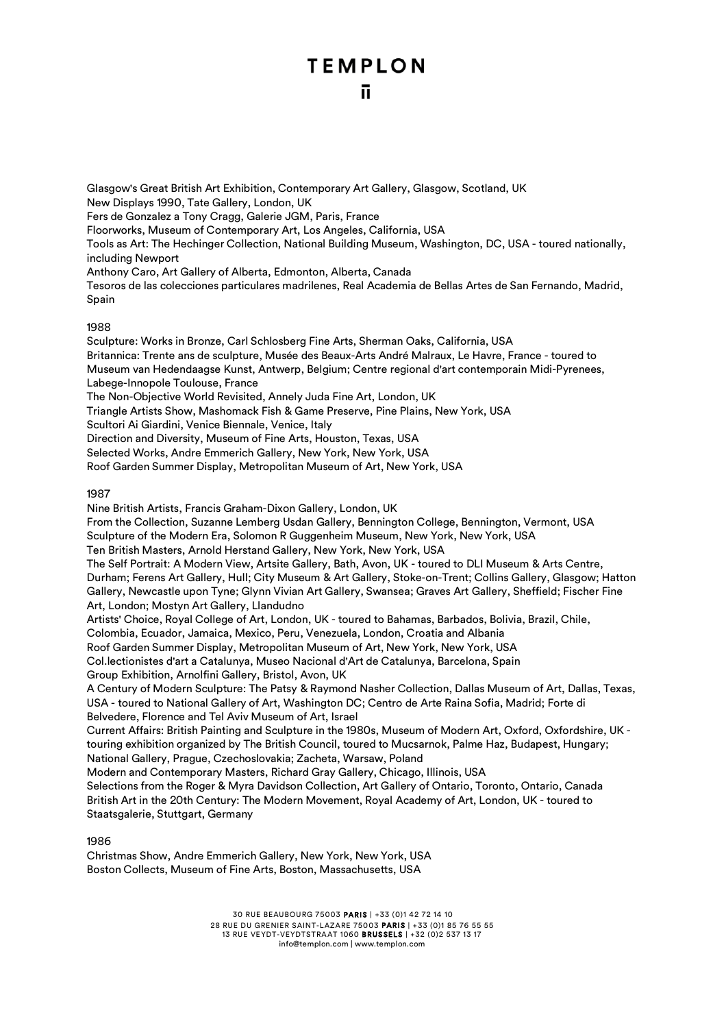Glasgow's Great British Art Exhibition, Contemporary Art Gallery, Glasgow, Scotland, UK New Displays 1990, Tate Gallery, London, UK Fers de Gonzalez a Tony Cragg, Galerie JGM, Paris, France Floorworks, Museum of Contemporary Art, Los Angeles, California, USA Tools as Art: The Hechinger Collection, National Building Museum, Washington, DC, USA - toured nationally, including Newport Anthony Caro, Art Gallery of Alberta, Edmonton, Alberta, Canada Tesoros de las colecciones particulares madrilenes, Real Academia de Bellas Artes de San Fernando, Madrid, Spain

### 1988

Sculpture: Works in Bronze, Carl Schlosberg Fine Arts, Sherman Oaks, California, USA Britannica: Trente ans de sculpture, Musée des Beaux-Arts André Malraux, Le Havre, France - toured to Museum van Hedendaagse Kunst, Antwerp, Belgium; Centre regional d'art contemporain Midi-Pyrenees, Labege-Innopole Toulouse, France The Non-Objective World Revisited, Annely Juda Fine Art, London, UK Triangle Artists Show, Mashomack Fish & Game Preserve, Pine Plains, New York, USA Scultori Ai Giardini, Venice Biennale, Venice, Italy

Direction and Diversity, Museum of Fine Arts, Houston, Texas, USA

Selected Works, Andre Emmerich Gallery, New York, New York, USA

Roof Garden Summer Display, Metropolitan Museum of Art, New York, USA

### 1987

Nine British Artists, Francis Graham-Dixon Gallery, London, UK From the Collection, Suzanne Lemberg Usdan Gallery, Bennington College, Bennington, Vermont, USA Sculpture of the Modern Era, Solomon R Guggenheim Museum, New York, New York, USA Ten British Masters, Arnold Herstand Gallery, New York, New York, USA The Self Portrait: A Modern View, Artsite Gallery, Bath, Avon, UK - toured to DLI Museum & Arts Centre, Durham; Ferens Art Gallery, Hull; City Museum & Art Gallery, Stoke-on-Trent; Collins Gallery, Glasgow; Hatton Gallery, Newcastle upon Tyne; Glynn Vivian Art Gallery, Swansea; Graves Art Gallery, Sheffield; Fischer Fine Art, London; Mostyn Art Gallery, Llandudno Artists' Choice, Royal College of Art, London, UK - toured to Bahamas, Barbados, Bolivia, Brazil, Chile, Colombia, Ecuador, Jamaica, Mexico, Peru, Venezuela, London, Croatia and Albania Roof Garden Summer Display, Metropolitan Museum of Art, New York, New York, USA Col.lectionistes d'art a Catalunya, Museo Nacional d'Art de Catalunya, Barcelona, Spain Group Exhibition, Arnolfini Gallery, Bristol, Avon, UK A Century of Modern Sculpture: The Patsy & Raymond Nasher Collection, Dallas Museum of Art, Dallas, Texas, USA - toured to National Gallery of Art, Washington DC; Centro de Arte Raina Sofia, Madrid; Forte di Belvedere, Florence and Tel Aviv Museum of Art, Israel Current Affairs: British Painting and Sculpture in the 1980s, Museum of Modern Art, Oxford, Oxfordshire, UK touring exhibition organized by The British Council, toured to Mucsarnok, Palme Haz, Budapest, Hungary; National Gallery, Prague, Czechoslovakia; Zacheta, Warsaw, Poland

Modern and Contemporary Masters, Richard Gray Gallery, Chicago, Illinois, USA Selections from the Roger & Myra Davidson Collection, Art Gallery of Ontario, Toronto, Ontario, Canada British Art in the 20th Century: The Modern Movement, Royal Academy of Art, London, UK - toured to Staatsgalerie, Stuttgart, Germany

1986

Christmas Show, Andre Emmerich Gallery, New York, New York, USA Boston Collects, Museum of Fine Arts, Boston, Massachusetts, USA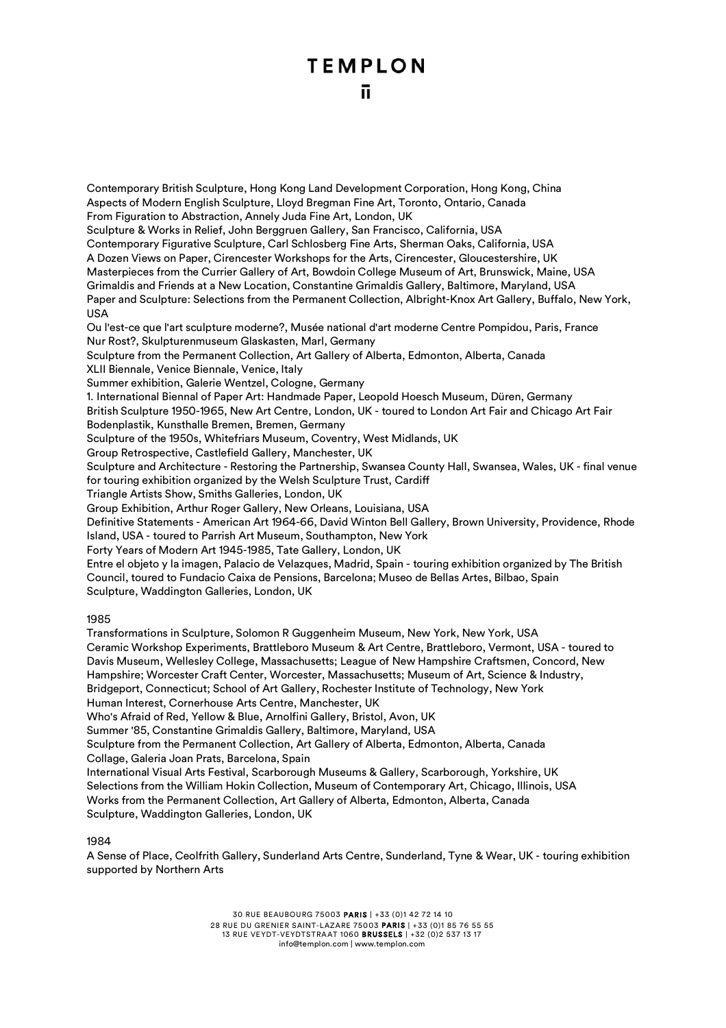Contemporary British Sculpture, Hong Kong Land Development Corporation, Hong Kong, China

Aspects of Modern English Sculpture, Lloyd Bregman Fine Art, Toronto, Ontario, Canada From Figuration to Abstraction, Annely Juda Fine Art, London, UK Sculpture & Works in Relief, John Berggruen Gallery, San Francisco, California, USA Contemporary Figurative Sculpture, Carl Schlosberg Fine Arts, Sherman Oaks, California, USA A Dozen Views on Paper, Cirencester Workshops for the Arts, Cirencester, Gloucestershire, UK Masterpieces from the Currier Gallery of Art, Bowdoin College Museum of Art, Brunswick, Maine, USA Grimaldis and Friends at a New Location, Constantine Grimaldis Gallery, Baltimore, Maryland, USA Paper and Sculpture: Selections from the Permanent Collection, Albright-Knox Art Gallery, Buffalo, New York, USA Ou l'est-ce que l'art sculpture moderne?, Musée national d'art moderne Centre Pompidou, Paris, France Nur Rost?, Skulpturenmuseum Glaskasten, Marl, Germany Sculpture from the Permanent Collection, Art Gallery of Alberta, Edmonton, Alberta, Canada XLII Biennale, Venice Biennale, Venice, Italy Summer exhibition, Galerie Wentzel, Cologne, Germany 1. International Biennal of Paper Art: Handmade Paper, Leopold Hoesch Museum, Düren, Germany British Sculpture 1950-1965, New Art Centre, London, UK - toured to London Art Fair and Chicago Art Fair Bodenplastik, Kunsthalle Bremen, Bremen, Germany Sculpture of the 1950s, Whitefriars Museum, Coventry, West Midlands, UK Group Retrospective, Castlefield Gallery, Manchester, UK Sculpture and Architecture - Restoring the Partnership, Swansea County Hall, Swansea, Wales, UK - final venue for touring exhibition organized by the Welsh Sculpture Trust, Cardiff Triangle Artists Show, Smiths Galleries, London, UK Group Exhibition, Arthur Roger Gallery, New Orleans, Louisiana, USA Definitive Statements - American Art 1964-66, David Winton Bell Gallery, Brown University, Providence, Rhode Island, USA - toured to Parrish Art Museum, Southampton, New York Forty Years of Modern Art 1945-1985, Tate Gallery, London, UK Entre el objeto y la imagen, Palacio de Velazques, Madrid, Spain - touring exhibition organized by The British Council, toured to Fundacio Caixa de Pensions, Barcelona; Museo de Bellas Artes, Bilbao, Spain Sculpture, Waddington Galleries, London, UK 1985 Transformations in Sculpture, Solomon R Guggenheim Museum, New York, New York, USA Ceramic Workshop Experiments, Brattleboro Museum & Art Centre, Brattleboro, Vermont, USA - toured to Davis Museum, Wellesley College, Massachusetts; League of New Hampshire Craftsmen, Concord, New Hampshire; Worcester Craft Center, Worcester, Massachusetts; Museum of Art, Science & Industry, Bridgeport, Connecticut; School of Art Gallery, Rochester Institute of Technology, New York Human Interest, Cornerhouse Arts Centre, Manchester, UK Who's Afraid of Red, Yellow & Blue, Arnolfini Gallery, Bristol, Avon, UK Summer '85, Constantine Grimaldis Gallery, Baltimore, Maryland, USA Sculpture from the Permanent Collection, Art Gallery of Alberta, Edmonton, Alberta, Canada Collage, Galeria Joan Prats, Barcelona, Spain International Visual Arts Festival, Scarborough Museums & Gallery, Scarborough, Yorkshire, UK Selections from the William Hokin Collection, Museum of Contemporary Art, Chicago, Illinois, USA Works from the Permanent Collection, Art Gallery of Alberta, Edmonton, Alberta, Canada

1984

Sculpture, Waddington Galleries, London, UK

A Sense of Place, Ceolfrith Gallery, Sunderland Arts Centre, Sunderland, Tyne & Wear, UK - touring exhibition supported by Northern Arts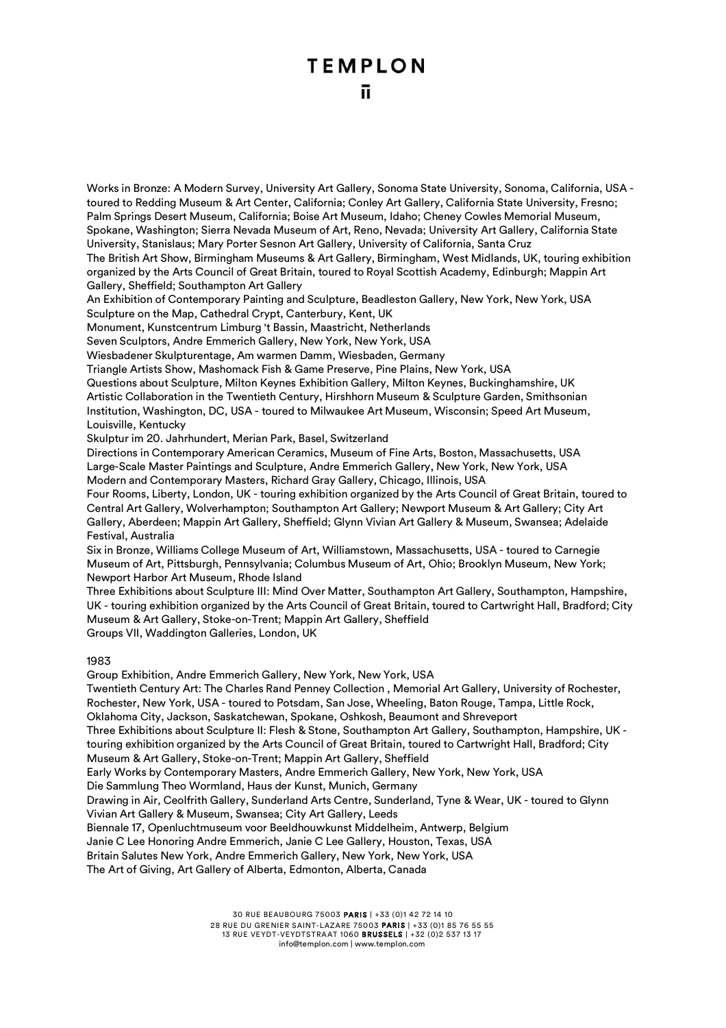Works in Bronze: A Modern Survey, University Art Gallery, Sonoma State University, Sonoma, California, USA toured to Redding Museum & Art Center, California; Conley Art Gallery, California State University, Fresno; Palm Springs Desert Museum, California; Boise Art Museum, Idaho; Cheney Cowles Memorial Museum, Spokane, Washington; Sierra Nevada Museum of Art, Reno, Nevada; University Art Gallery, California State University, Stanislaus; Mary Porter Sesnon Art Gallery, University of California, Santa Cruz

The British Art Show, Birmingham Museums & Art Gallery, Birmingham, West Midlands, UK, touring exhibition organized by the Arts Council of Great Britain, toured to Royal Scottish Academy, Edinburgh; Mappin Art Gallery, Sheffield; Southampton Art Gallery

An Exhibition of Contemporary Painting and Sculpture, Beadleston Gallery, New York, New York, USA Sculpture on the Map, Cathedral Crypt, Canterbury, Kent, UK

Monument, Kunstcentrum Limburg 't Bassin, Maastricht, Netherlands

Seven Sculptors, Andre Emmerich Gallery, New York, New York, USA

Wiesbadener Skulpturentage, Am warmen Damm, Wiesbaden, Germany

Triangle Artists Show, Mashomack Fish & Game Preserve, Pine Plains, New York, USA

Questions about Sculpture, Milton Keynes Exhibition Gallery, Milton Keynes, Buckinghamshire, UK Artistic Collaboration in the Twentieth Century, Hirshhorn Museum & Sculpture Garden, Smithsonian Institution, Washington, DC, USA - toured to Milwaukee Art Museum, Wisconsin; Speed Art Museum, Louisville, Kentucky

Skulptur im 20. Jahrhundert, Merian Park, Basel, Switzerland

Directions in Contemporary American Ceramics, Museum of Fine Arts, Boston, Massachusetts, USA Large-Scale Master Paintings and Sculpture, Andre Emmerich Gallery, New York, New York, USA Modern and Contemporary Masters, Richard Gray Gallery, Chicago, Illinois, USA

Four Rooms, Liberty, London, UK - touring exhibition organized by the Arts Council of Great Britain, toured to Central Art Gallery, Wolverhampton; Southampton Art Gallery; Newport Museum & Art Gallery; City Art Gallery, Aberdeen; Mappin Art Gallery, Sheffield; Glynn Vivian Art Gallery & Museum, Swansea; Adelaide Festival, Australia

Six in Bronze, Williams College Museum of Art, Williamstown, Massachusetts, USA - toured to Carnegie Museum of Art, Pittsburgh, Pennsylvania; Columbus Museum of Art, Ohio; Brooklyn Museum, New York; Newport Harbor Art Museum, Rhode Island

Three Exhibitions about Sculpture III: Mind Over Matter, Southampton Art Gallery, Southampton, Hampshire, UK - touring exhibition organized by the Arts Council of Great Britain, toured to Cartwright Hall, Bradford; City Museum & Art Gallery, Stoke-on-Trent; Mappin Art Gallery, Sheffield Groups VII, Waddington Galleries, London, UK

1983

Group Exhibition, Andre Emmerich Gallery, New York, New York, USA

Twentieth Century Art: The Charles Rand Penney Collection , Memorial Art Gallery, University of Rochester, Rochester, New York, USA - toured to Potsdam, San Jose, Wheeling, Baton Rouge, Tampa, Little Rock, Oklahoma City, Jackson, Saskatchewan, Spokane, Oshkosh, Beaumont and Shreveport

Three Exhibitions about Sculpture II: Flesh & Stone, Southampton Art Gallery, Southampton, Hampshire, UK touring exhibition organized by the Arts Council of Great Britain, toured to Cartwright Hall, Bradford; City Museum & Art Gallery, Stoke-on-Trent; Mappin Art Gallery, Sheffield

Early Works by Contemporary Masters, Andre Emmerich Gallery, New York, New York, USA

Die Sammlung Theo Wormland, Haus der Kunst, Munich, Germany

Drawing in Air, Ceolfrith Gallery, Sunderland Arts Centre, Sunderland, Tyne & Wear, UK - toured to Glynn Vivian Art Gallery & Museum, Swansea; City Art Gallery, Leeds

Biennale 17, Openluchtmuseum voor Beeldhouwkunst Middelheim, Antwerp, Belgium

Janie C Lee Honoring Andre Emmerich, Janie C Lee Gallery, Houston, Texas, USA

Britain Salutes New York, Andre Emmerich Gallery, New York, New York, USA

The Art of Giving, Art Gallery of Alberta, Edmonton, Alberta, Canada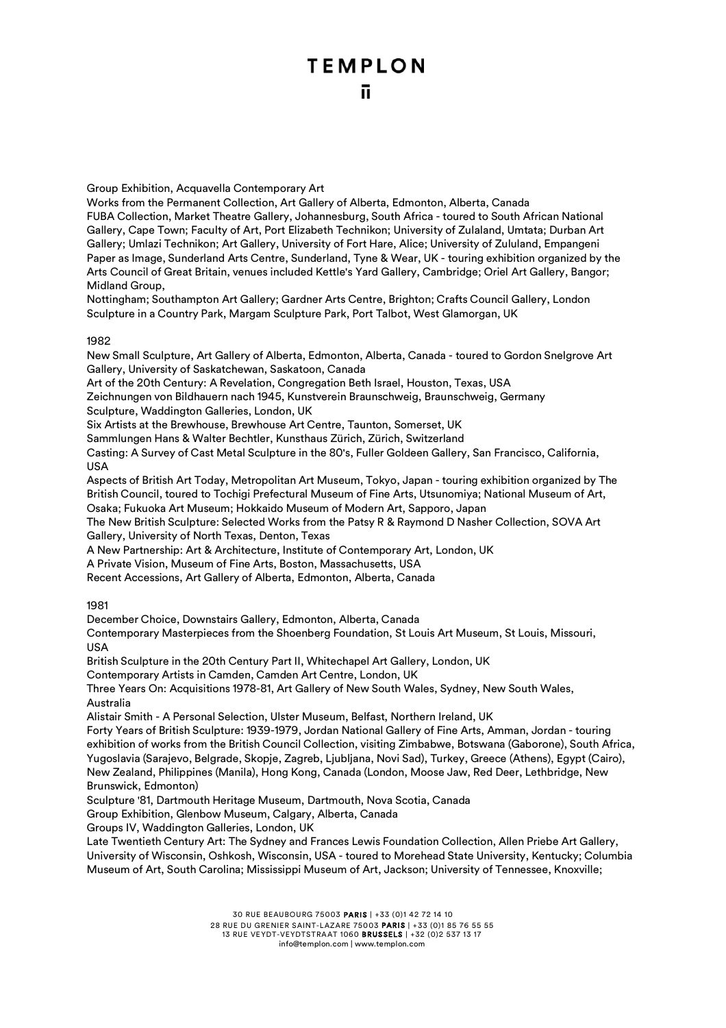Group Exhibition, Acquavella Contemporary Art

Works from the Permanent Collection, Art Gallery of Alberta, Edmonton, Alberta, Canada FUBA Collection, Market Theatre Gallery, Johannesburg, South Africa - toured to South African National Gallery, Cape Town; Faculty of Art, Port Elizabeth Technikon; University of Zulaland, Umtata; Durban Art Gallery; Umlazi Technikon; Art Gallery, University of Fort Hare, Alice; University of Zululand, Empangeni Paper as Image, Sunderland Arts Centre, Sunderland, Tyne & Wear, UK - touring exhibition organized by the Arts Council of Great Britain, venues included Kettle's Yard Gallery, Cambridge; Oriel Art Gallery, Bangor; Midland Group,

Nottingham; Southampton Art Gallery; Gardner Arts Centre, Brighton; Crafts Council Gallery, London Sculpture in a Country Park, Margam Sculpture Park, Port Talbot, West Glamorgan, UK

### 1982

New Small Sculpture, Art Gallery of Alberta, Edmonton, Alberta, Canada - toured to Gordon Snelgrove Art Gallery, University of Saskatchewan, Saskatoon, Canada

Art of the 20th Century: A Revelation, Congregation Beth Israel, Houston, Texas, USA

Zeichnungen von Bildhauern nach 1945, Kunstverein Braunschweig, Braunschweig, Germany Sculpture, Waddington Galleries, London, UK

Six Artists at the Brewhouse, Brewhouse Art Centre, Taunton, Somerset, UK

Sammlungen Hans & Walter Bechtler, Kunsthaus Zürich, Zürich, Switzerland

Casting: A Survey of Cast Metal Sculpture in the 80's, Fuller Goldeen Gallery, San Francisco, California, USA

Aspects of British Art Today, Metropolitan Art Museum, Tokyo, Japan - touring exhibition organized by The British Council, toured to Tochigi Prefectural Museum of Fine Arts, Utsunomiya; National Museum of Art, Osaka; Fukuoka Art Museum; Hokkaido Museum of Modern Art, Sapporo, Japan

The New British Sculpture: Selected Works from the Patsy R & Raymond D Nasher Collection, SOVA Art Gallery, University of North Texas, Denton, Texas

A New Partnership: Art & Architecture, Institute of Contemporary Art, London, UK

A Private Vision, Museum of Fine Arts, Boston, Massachusetts, USA

Recent Accessions, Art Gallery of Alberta, Edmonton, Alberta, Canada

1981

December Choice, Downstairs Gallery, Edmonton, Alberta, Canada

Contemporary Masterpieces from the Shoenberg Foundation, St Louis Art Museum, St Louis, Missouri, USA

British Sculpture in the 20th Century Part II, Whitechapel Art Gallery, London, UK

Contemporary Artists in Camden, Camden Art Centre, London, UK

Three Years On: Acquisitions 1978-81, Art Gallery of New South Wales, Sydney, New South Wales, Australia

Alistair Smith - A Personal Selection, Ulster Museum, Belfast, Northern Ireland, UK

Forty Years of British Sculpture: 1939-1979, Jordan National Gallery of Fine Arts, Amman, Jordan - touring exhibition of works from the British Council Collection, visiting Zimbabwe, Botswana (Gaborone), South Africa, Yugoslavia (Sarajevo, Belgrade, Skopje, Zagreb, Ljubljana, Novi Sad), Turkey, Greece (Athens), Egypt (Cairo), New Zealand, Philippines (Manila), Hong Kong, Canada (London, Moose Jaw, Red Deer, Lethbridge, New Brunswick, Edmonton)

Sculpture '81, Dartmouth Heritage Museum, Dartmouth, Nova Scotia, Canada

Group Exhibition, Glenbow Museum, Calgary, Alberta, Canada

Groups IV, Waddington Galleries, London, UK

Late Twentieth Century Art: The Sydney and Frances Lewis Foundation Collection, Allen Priebe Art Gallery, University of Wisconsin, Oshkosh, Wisconsin, USA - toured to Morehead State University, Kentucky; Columbia Museum of Art, South Carolina; Mississippi Museum of Art, Jackson; University of Tennessee, Knoxville;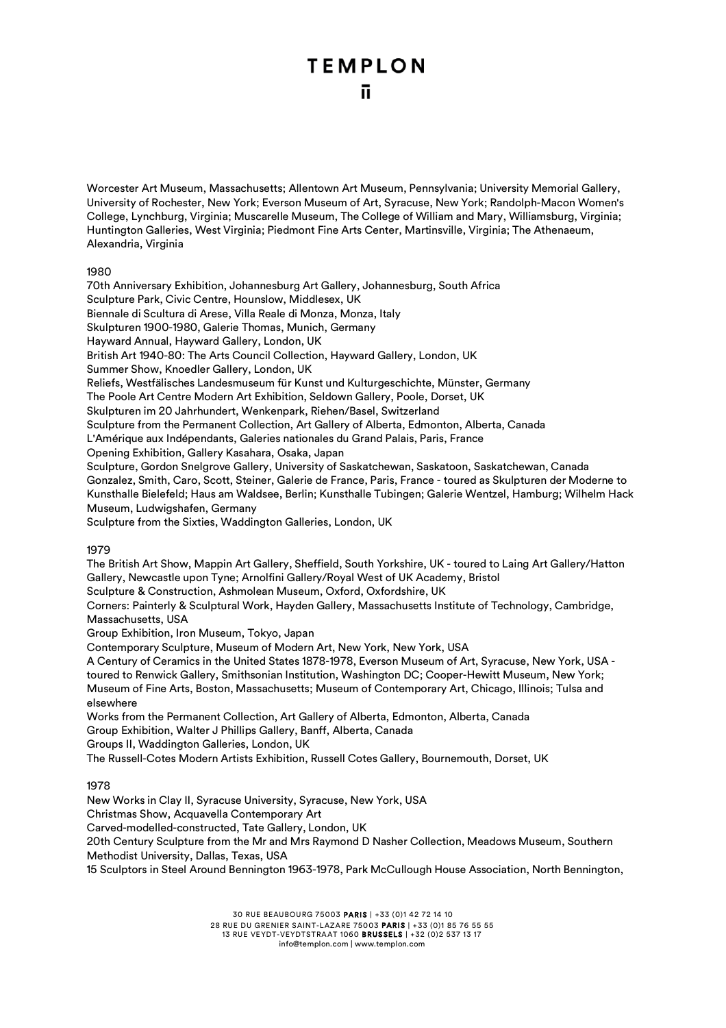Worcester Art Museum, Massachusetts; Allentown Art Museum, Pennsylvania; University Memorial Gallery, University of Rochester, New York; Everson Museum of Art, Syracuse, New York; Randolph-Macon Women's College, Lynchburg, Virginia; Muscarelle Museum, The College of William and Mary, Williamsburg, Virginia; Huntington Galleries, West Virginia; Piedmont Fine Arts Center, Martinsville, Virginia; The Athenaeum, Alexandria, Virginia

### 1980

70th Anniversary Exhibition, Johannesburg Art Gallery, Johannesburg, South Africa Sculpture Park, Civic Centre, Hounslow, Middlesex, UK Biennale di Scultura di Arese, Villa Reale di Monza, Monza, Italy Skulpturen 1900-1980, Galerie Thomas, Munich, Germany Hayward Annual, Hayward Gallery, London, UK British Art 1940-80: The Arts Council Collection, Hayward Gallery, London, UK Summer Show, Knoedler Gallery, London, UK Reliefs, Westfälisches Landesmuseum für Kunst und Kulturgeschichte, Münster, Germany The Poole Art Centre Modern Art Exhibition, Seldown Gallery, Poole, Dorset, UK Skulpturen im 20 Jahrhundert, Wenkenpark, Riehen/Basel, Switzerland Sculpture from the Permanent Collection, Art Gallery of Alberta, Edmonton, Alberta, Canada L'Amérique aux Indépendants, Galeries nationales du Grand Palais, Paris, France Opening Exhibition, Gallery Kasahara, Osaka, Japan Sculpture, Gordon Snelgrove Gallery, University of Saskatchewan, Saskatoon, Saskatchewan, Canada Gonzalez, Smith, Caro, Scott, Steiner, Galerie de France, Paris, France - toured as Skulpturen der Moderne to Kunsthalle Bielefeld; Haus am Waldsee, Berlin; Kunsthalle Tubingen; Galerie Wentzel, Hamburg; Wilhelm Hack Museum, Ludwigshafen, Germany Sculpture from the Sixties, Waddington Galleries, London, UK 1979

The British Art Show, Mappin Art Gallery, Sheffield, South Yorkshire, UK - toured to Laing Art Gallery/Hatton Gallery, Newcastle upon Tyne; Arnolfini Gallery/Royal West of UK Academy, Bristol

Sculpture & Construction, Ashmolean Museum, Oxford, Oxfordshire, UK

Corners: Painterly & Sculptural Work, Hayden Gallery, Massachusetts Institute of Technology, Cambridge, Massachusetts, USA

Group Exhibition, Iron Museum, Tokyo, Japan

Contemporary Sculpture, Museum of Modern Art, New York, New York, USA

A Century of Ceramics in the United States 1878-1978, Everson Museum of Art, Syracuse, New York, USA toured to Renwick Gallery, Smithsonian Institution, Washington DC; Cooper-Hewitt Museum, New York; Museum of Fine Arts, Boston, Massachusetts; Museum of Contemporary Art, Chicago, Illinois; Tulsa and elsewhere

Works from the Permanent Collection, Art Gallery of Alberta, Edmonton, Alberta, Canada Group Exhibition, Walter J Phillips Gallery, Banff, Alberta, Canada Groups II, Waddington Galleries, London, UK

The Russell-Cotes Modern Artists Exhibition, Russell Cotes Gallery, Bournemouth, Dorset, UK

1978

New Works in Clay II, Syracuse University, Syracuse, New York, USA

Christmas Show, Acquavella Contemporary Art

Carved-modelled-constructed, Tate Gallery, London, UK

20th Century Sculpture from the Mr and Mrs Raymond D Nasher Collection, Meadows Museum, Southern Methodist University, Dallas, Texas, USA

15 Sculptors in Steel Around Bennington 1963-1978, Park McCullough House Association, North Bennington,

30 RUE BEAUBOURG 75003 PARIS | +33 (0)1 42 72 14 10 28 RUE DU GRENIER SAINT-LAZARE 75003 PARIS | +33 (0)1 85 76 55 55 13 RUE VEYDT-VEYDTSTRAAT 1060 BRUSSELS | +32 (0)2 537 13 17

info@templon.com | www.templon.com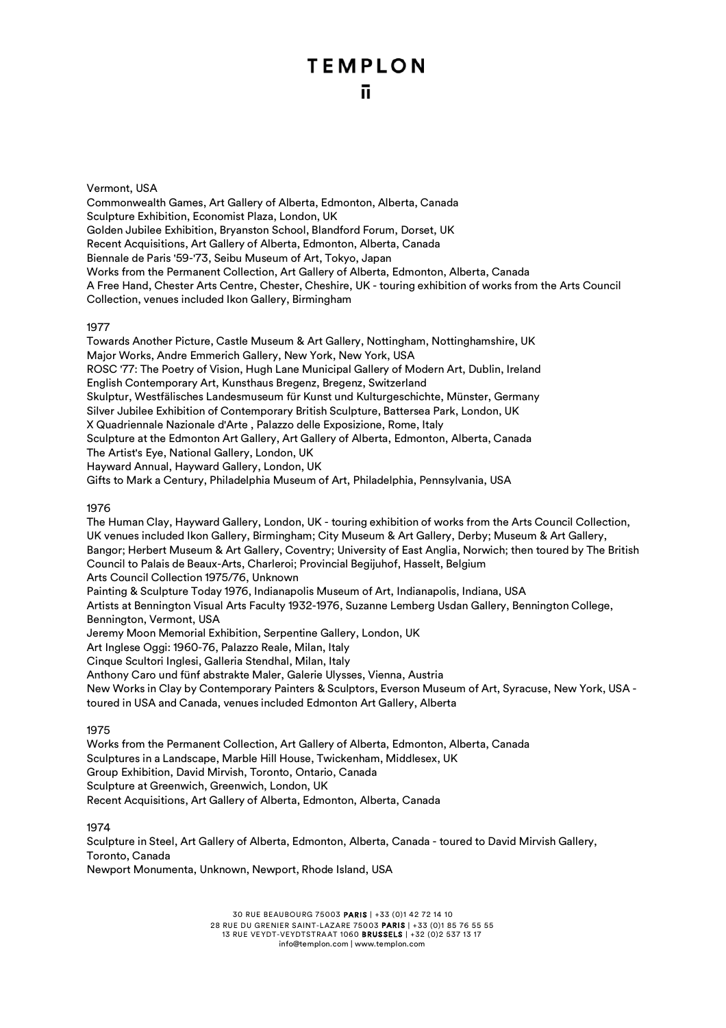### Vermont, USA

Commonwealth Games, Art Gallery of Alberta, Edmonton, Alberta, Canada Sculpture Exhibition, Economist Plaza, London, UK Golden Jubilee Exhibition, Bryanston School, Blandford Forum, Dorset, UK Recent Acquisitions, Art Gallery of Alberta, Edmonton, Alberta, Canada Biennale de Paris '59-'73, Seibu Museum of Art, Tokyo, Japan Works from the Permanent Collection, Art Gallery of Alberta, Edmonton, Alberta, Canada A Free Hand, Chester Arts Centre, Chester, Cheshire, UK - touring exhibition of works from the Arts Council Collection, venues included Ikon Gallery, Birmingham

### 1977

Towards Another Picture, Castle Museum & Art Gallery, Nottingham, Nottinghamshire, UK Major Works, Andre Emmerich Gallery, New York, New York, USA ROSC '77: The Poetry of Vision, Hugh Lane Municipal Gallery of Modern Art, Dublin, Ireland English Contemporary Art, Kunsthaus Bregenz, Bregenz, Switzerland Skulptur, Westfälisches Landesmuseum für Kunst und Kulturgeschichte, Münster, Germany Silver Jubilee Exhibition of Contemporary British Sculpture, Battersea Park, London, UK X Quadriennale Nazionale d'Arte , Palazzo delle Exposizione, Rome, Italy Sculpture at the Edmonton Art Gallery, Art Gallery of Alberta, Edmonton, Alberta, Canada The Artist's Eye, National Gallery, London, UK Hayward Annual, Hayward Gallery, London, UK Gifts to Mark a Century, Philadelphia Museum of Art, Philadelphia, Pennsylvania, USA

### 1976

The Human Clay, Hayward Gallery, London, UK - touring exhibition of works from the Arts Council Collection, UK venues included Ikon Gallery, Birmingham; City Museum & Art Gallery, Derby; Museum & Art Gallery, Bangor; Herbert Museum & Art Gallery, Coventry; University of East Anglia, Norwich; then toured by The British Council to Palais de Beaux-Arts, Charleroi; Provincial Begijuhof, Hasselt, Belgium Arts Council Collection 1975/76, Unknown Painting & Sculpture Today 1976, Indianapolis Museum of Art, Indianapolis, Indiana, USA Artists at Bennington Visual Arts Faculty 1932-1976, Suzanne Lemberg Usdan Gallery, Bennington College, Bennington, Vermont, USA Jeremy Moon Memorial Exhibition, Serpentine Gallery, London, UK Art Inglese Oggi: 1960-76, Palazzo Reale, Milan, Italy Cinque Scultori Inglesi, Galleria Stendhal, Milan, Italy Anthony Caro und fünf abstrakte Maler, Galerie Ulysses, Vienna, Austria New Works in Clay by Contemporary Painters & Sculptors, Everson Museum of Art, Syracuse, New York, USA toured in USA and Canada, venues included Edmonton Art Gallery, Alberta

### 1975

Works from the Permanent Collection, Art Gallery of Alberta, Edmonton, Alberta, Canada Sculptures in a Landscape, Marble Hill House, Twickenham, Middlesex, UK Group Exhibition, David Mirvish, Toronto, Ontario, Canada Sculpture at Greenwich, Greenwich, London, UK Recent Acquisitions, Art Gallery of Alberta, Edmonton, Alberta, Canada

### 1974

Sculpture in Steel, Art Gallery of Alberta, Edmonton, Alberta, Canada - toured to David Mirvish Gallery, Toronto, Canada Newport Monumenta, Unknown, Newport, Rhode Island, USA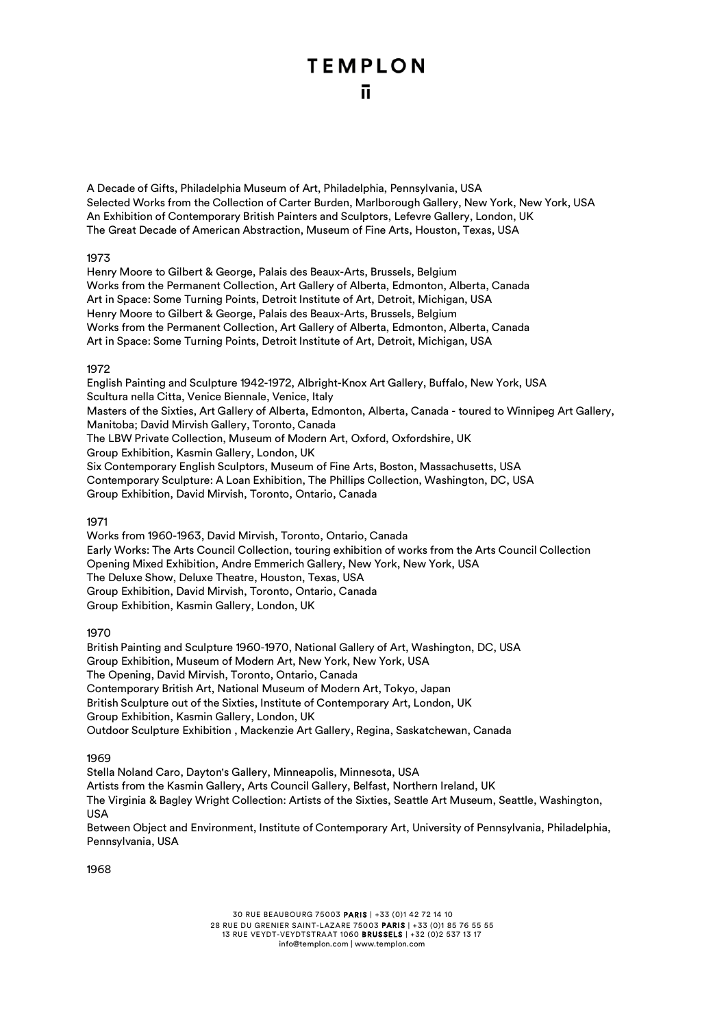A Decade of Gifts, Philadelphia Museum of Art, Philadelphia, Pennsylvania, USA Selected Works from the Collection of Carter Burden, Marlborough Gallery, New York, New York, USA An Exhibition of Contemporary British Painters and Sculptors, Lefevre Gallery, London, UK The Great Decade of American Abstraction, Museum of Fine Arts, Houston, Texas, USA

### 1973

Henry Moore to Gilbert & George, Palais des Beaux-Arts, Brussels, Belgium Works from the Permanent Collection, Art Gallery of Alberta, Edmonton, Alberta, Canada Art in Space: Some Turning Points, Detroit Institute of Art, Detroit, Michigan, USA Henry Moore to Gilbert & George, Palais des Beaux-Arts, Brussels, Belgium Works from the Permanent Collection, Art Gallery of Alberta, Edmonton, Alberta, Canada Art in Space: Some Turning Points, Detroit Institute of Art, Detroit, Michigan, USA

### 1972

English Painting and Sculpture 1942-1972, Albright-Knox Art Gallery, Buffalo, New York, USA Scultura nella Citta, Venice Biennale, Venice, Italy Masters of the Sixties, Art Gallery of Alberta, Edmonton, Alberta, Canada - toured to Winnipeg Art Gallery, Manitoba; David Mirvish Gallery, Toronto, Canada The LBW Private Collection, Museum of Modern Art, Oxford, Oxfordshire, UK Group Exhibition, Kasmin Gallery, London, UK Six Contemporary English Sculptors, Museum of Fine Arts, Boston, Massachusetts, USA Contemporary Sculpture: A Loan Exhibition, The Phillips Collection, Washington, DC, USA Group Exhibition, David Mirvish, Toronto, Ontario, Canada

### 1971

Works from 1960-1963, David Mirvish, Toronto, Ontario, Canada Early Works: The Arts Council Collection, touring exhibition of works from the Arts Council Collection Opening Mixed Exhibition, Andre Emmerich Gallery, New York, New York, USA The Deluxe Show, Deluxe Theatre, Houston, Texas, USA Group Exhibition, David Mirvish, Toronto, Ontario, Canada Group Exhibition, Kasmin Gallery, London, UK

### 1970

British Painting and Sculpture 1960-1970, National Gallery of Art, Washington, DC, USA Group Exhibition, Museum of Modern Art, New York, New York, USA The Opening, David Mirvish, Toronto, Ontario, Canada Contemporary British Art, National Museum of Modern Art, Tokyo, Japan British Sculpture out of the Sixties, Institute of Contemporary Art, London, UK Group Exhibition, Kasmin Gallery, London, UK Outdoor Sculpture Exhibition , Mackenzie Art Gallery, Regina, Saskatchewan, Canada

### 1969

Stella Noland Caro, Dayton's Gallery, Minneapolis, Minnesota, USA Artists from the Kasmin Gallery, Arts Council Gallery, Belfast, Northern Ireland, UK The Virginia & Bagley Wright Collection: Artists of the Sixties, Seattle Art Museum, Seattle, Washington, **IISA** 

Between Object and Environment, Institute of Contemporary Art, University of Pennsylvania, Philadelphia, Pennsylvania, USA

1968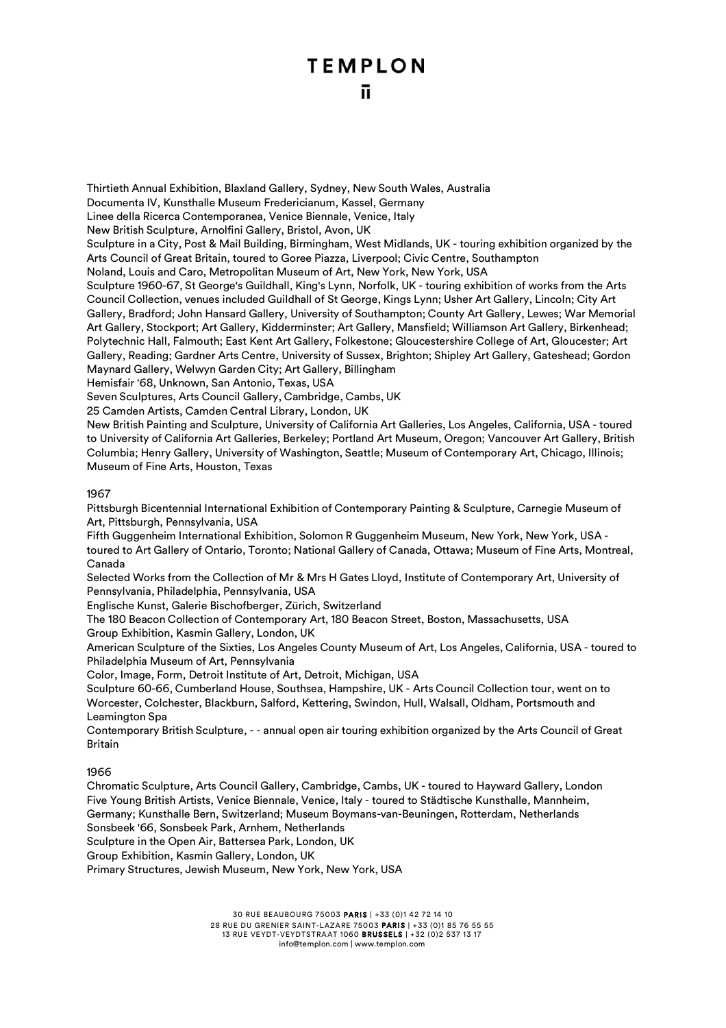Thirtieth Annual Exhibition, Blaxland Gallery, Sydney, New South Wales, Australia

Documenta IV, Kunsthalle Museum Fredericianum, Kassel, Germany

Linee della Ricerca Contemporanea, Venice Biennale, Venice, Italy

New British Sculpture, Arnolfini Gallery, Bristol, Avon, UK

Sculpture in a City, Post & Mail Building, Birmingham, West Midlands, UK - touring exhibition organized by the Arts Council of Great Britain, toured to Goree Piazza, Liverpool; Civic Centre, Southampton

Noland, Louis and Caro, Metropolitan Museum of Art, New York, New York, USA

Sculpture 1960-67, St George's Guildhall, King's Lynn, Norfolk, UK - touring exhibition of works from the Arts Council Collection, venues included Guildhall of St George, Kings Lynn; Usher Art Gallery, Lincoln; City Art Gallery, Bradford; John Hansard Gallery, University of Southampton; County Art Gallery, Lewes; War Memorial Art Gallery, Stockport; Art Gallery, Kidderminster; Art Gallery, Mansfield; Williamson Art Gallery, Birkenhead; Polytechnic Hall, Falmouth; East Kent Art Gallery, Folkestone; Gloucestershire College of Art, Gloucester; Art Gallery, Reading; Gardner Arts Centre, University of Sussex, Brighton; Shipley Art Gallery, Gateshead; Gordon Maynard Gallery, Welwyn Garden City; Art Gallery, Billingham

Hemisfair '68, Unknown, San Antonio, Texas, USA

Seven Sculptures, Arts Council Gallery, Cambridge, Cambs, UK

25 Camden Artists, Camden Central Library, London, UK

New British Painting and Sculpture, University of California Art Galleries, Los Angeles, California, USA - toured to University of California Art Galleries, Berkeley; Portland Art Museum, Oregon; Vancouver Art Gallery, British Columbia; Henry Gallery, University of Washington, Seattle; Museum of Contemporary Art, Chicago, Illinois; Museum of Fine Arts, Houston, Texas

### 1967

Pittsburgh Bicentennial International Exhibition of Contemporary Painting & Sculpture, Carnegie Museum of Art, Pittsburgh, Pennsylvania, USA

Fifth Guggenheim International Exhibition, Solomon R Guggenheim Museum, New York, New York, USA toured to Art Gallery of Ontario, Toronto; National Gallery of Canada, Ottawa; Museum of Fine Arts, Montreal, Canada

Selected Works from the Collection of Mr & Mrs H Gates Lloyd, Institute of Contemporary Art, University of Pennsylvania, Philadelphia, Pennsylvania, USA

Englische Kunst, Galerie Bischofberger, Zürich, Switzerland

The 180 Beacon Collection of Contemporary Art, 180 Beacon Street, Boston, Massachusetts, USA Group Exhibition, Kasmin Gallery, London, UK

American Sculpture of the Sixties, Los Angeles County Museum of Art, Los Angeles, California, USA - toured to Philadelphia Museum of Art, Pennsylvania

Color, Image, Form, Detroit Institute of Art, Detroit, Michigan, USA

Sculpture 60-66, Cumberland House, Southsea, Hampshire, UK - Arts Council Collection tour, went on to Worcester, Colchester, Blackburn, Salford, Kettering, Swindon, Hull, Walsall, Oldham, Portsmouth and Leamington Spa

Contemporary British Sculpture, - - annual open air touring exhibition organized by the Arts Council of Great Britain

### 1966

Chromatic Sculpture, Arts Council Gallery, Cambridge, Cambs, UK - toured to Hayward Gallery, London Five Young British Artists, Venice Biennale, Venice, Italy - toured to Städtische Kunsthalle, Mannheim, Germany; Kunsthalle Bern, Switzerland; Museum Boymans-van-Beuningen, Rotterdam, Netherlands Sonsbeek '66, Sonsbeek Park, Arnhem, Netherlands

Sculpture in the Open Air, Battersea Park, London, UK

Group Exhibition, Kasmin Gallery, London, UK

Primary Structures, Jewish Museum, New York, New York, USA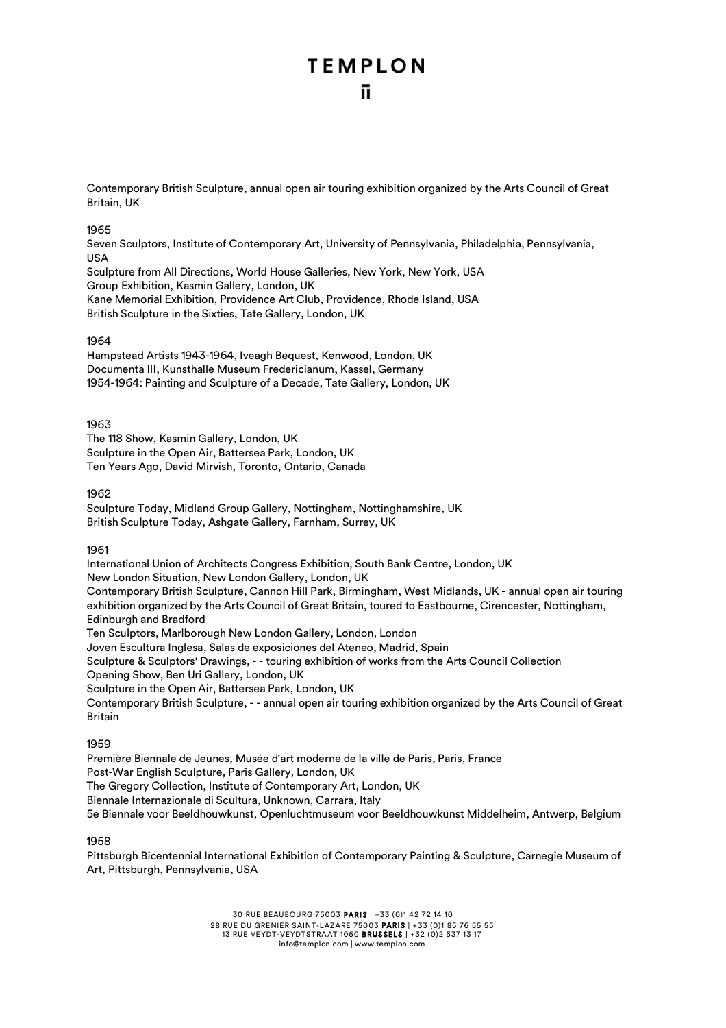### **TEMPLON** n.

Contemporary British Sculpture, annual open air touring exhibition organized by the Arts Council of Great Britain, UK

### 1965

Seven Sculptors, Institute of Contemporary Art, University of Pennsylvania, Philadelphia, Pennsylvania, USA

Sculpture from All Directions, World House Galleries, New York, New York, USA Group Exhibition, Kasmin Gallery, London, UK Kane Memorial Exhibition, Providence Art Club, Providence, Rhode Island, USA British Sculpture in the Sixties, Tate Gallery, London, UK

### 1964

Hampstead Artists 1943-1964, Iveagh Bequest, Kenwood, London, UK Documenta III, Kunsthalle Museum Fredericianum, Kassel, Germany 1954-1964: Painting and Sculpture of a Decade, Tate Gallery, London, UK

### 1963

The 118 Show, Kasmin Gallery, London, UK Sculpture in the Open Air, Battersea Park, London, UK Ten Years Ago, David Mirvish, Toronto, Ontario, Canada

### 1962

Sculpture Today, Midland Group Gallery, Nottingham, Nottinghamshire, UK British Sculpture Today, Ashgate Gallery, Farnham, Surrey, UK

### 1961

International Union of Architects Congress Exhibition, South Bank Centre, London, UK New London Situation, New London Gallery, London, UK Contemporary British Sculpture, Cannon Hill Park, Birmingham, West Midlands, UK - annual open air touring exhibition organized by the Arts Council of Great Britain, toured to Eastbourne, Cirencester, Nottingham, Edinburgh and Bradford Ten Sculptors, Marlborough New London Gallery, London, London Joven Escultura Inglesa, Salas de exposiciones del Ateneo, Madrid, Spain Sculpture & Sculptors' Drawings, - - touring exhibition of works from the Arts Council Collection Opening Show, Ben Uri Gallery, London, UK

Sculpture in the Open Air, Battersea Park, London, UK

Contemporary British Sculpture, - - annual open air touring exhibition organized by the Arts Council of Great Britain

### 1959

Première Biennale de Jeunes, Musée d'art moderne de la ville de Paris, Paris, France Post-War English Sculpture, Paris Gallery, London, UK The Gregory Collection, Institute of Contemporary Art, London, UK Biennale Internazionale di Scultura, Unknown, Carrara, Italy 5e Biennale voor Beeldhouwkunst, Openluchtmuseum voor Beeldhouwkunst Middelheim, Antwerp, Belgium

### 1958

Pittsburgh Bicentennial International Exhibition of Contemporary Painting & Sculpture, Carnegie Museum of Art, Pittsburgh, Pennsylvania, USA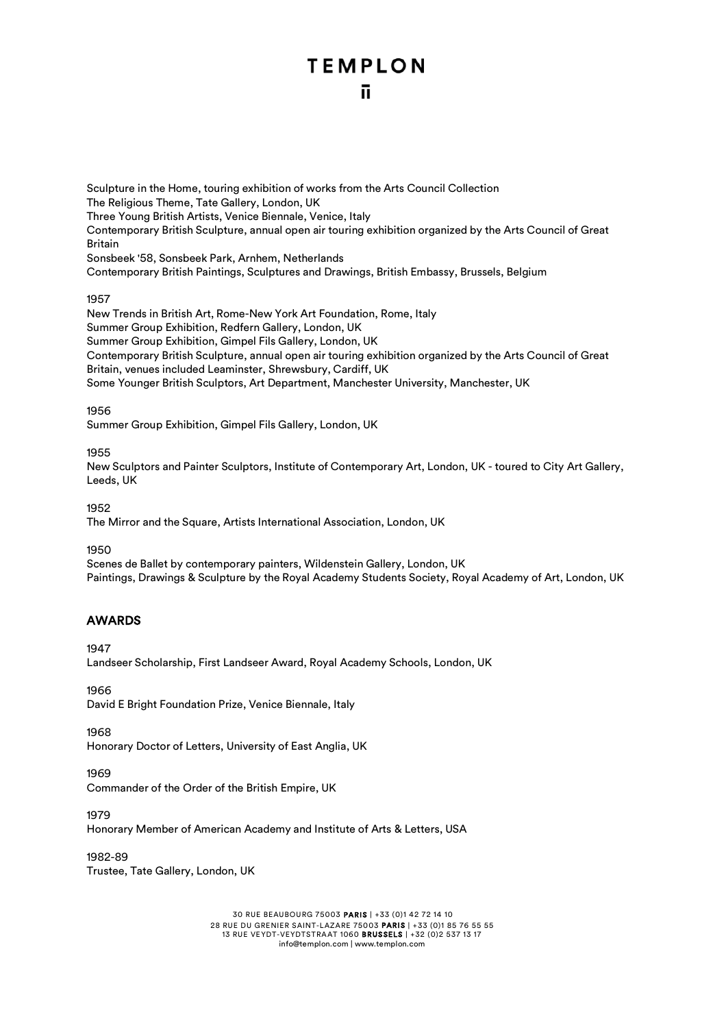Sculpture in the Home, touring exhibition of works from the Arts Council Collection The Religious Theme, Tate Gallery, London, UK Three Young British Artists, Venice Biennale, Venice, Italy Contemporary British Sculpture, annual open air touring exhibition organized by the Arts Council of Great Britain Sonsbeek '58, Sonsbeek Park, Arnhem, Netherlands Contemporary British Paintings, Sculptures and Drawings, British Embassy, Brussels, Belgium

### 1957

New Trends in British Art, Rome-New York Art Foundation, Rome, Italy Summer Group Exhibition, Redfern Gallery, London, UK Summer Group Exhibition, Gimpel Fils Gallery, London, UK Contemporary British Sculpture, annual open air touring exhibition organized by the Arts Council of Great Britain, venues included Leaminster, Shrewsbury, Cardiff, UK Some Younger British Sculptors, Art Department, Manchester University, Manchester, UK

### 1956

Summer Group Exhibition, Gimpel Fils Gallery, London, UK

### 1955

New Sculptors and Painter Sculptors, Institute of Contemporary Art, London, UK - toured to City Art Gallery, Leeds, UK

1952

The Mirror and the Square, Artists International Association, London, UK

1950

Scenes de Ballet by contemporary painters, Wildenstein Gallery, London, UK Paintings, Drawings & Sculpture by the Royal Academy Students Society, Royal Academy of Art, London, UK

### AWARDS

1947

Landseer Scholarship, First Landseer Award, Royal Academy Schools, London, UK

1966

David E Bright Foundation Prize, Venice Biennale, Italy

1968

Honorary Doctor of Letters, University of East Anglia, UK

### 1969

Commander of the Order of the British Empire, UK

1979

Honorary Member of American Academy and Institute of Arts & Letters, USA

1982-89 Trustee, Tate Gallery, London, UK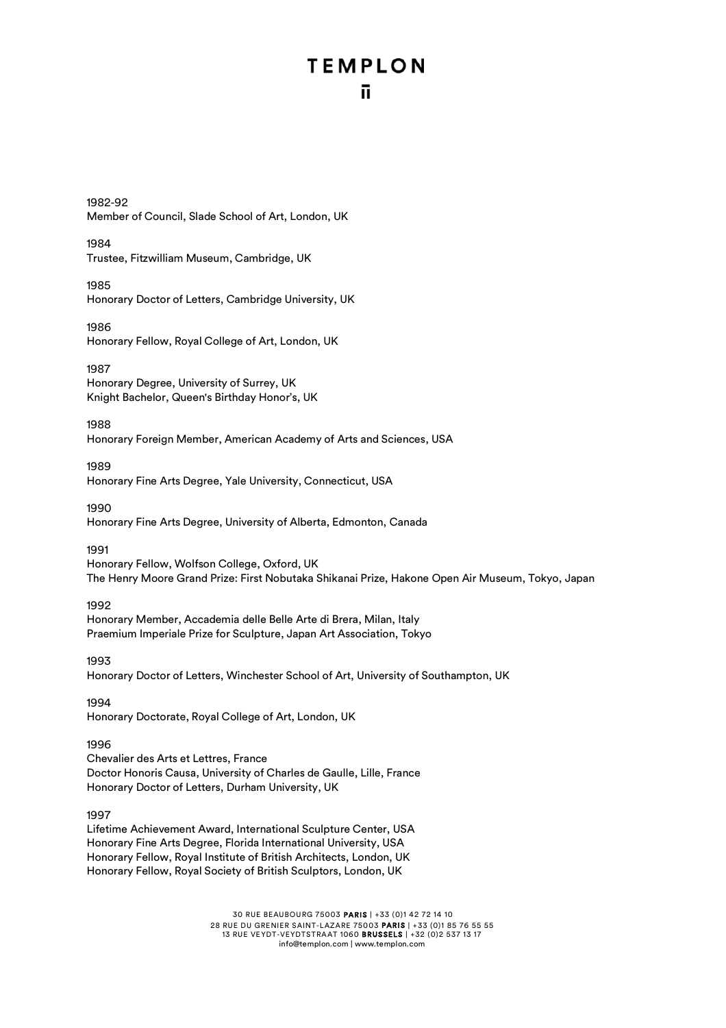1982-92 Member of Council, Slade School of Art, London, UK

1984 Trustee, Fitzwilliam Museum, Cambridge, UK

1985 Honorary Doctor of Letters, Cambridge University, UK

1986 Honorary Fellow, Royal College of Art, London, UK

1987

Honorary Degree, University of Surrey, UK Knight Bachelor, Queen's Birthday Honor's, UK

1988

Honorary Foreign Member, American Academy of Arts and Sciences, USA

1989 Honorary Fine Arts Degree, Yale University, Connecticut, USA

1990 Honorary Fine Arts Degree, University of Alberta, Edmonton, Canada

1991 Honorary Fellow, Wolfson College, Oxford, UK

The Henry Moore Grand Prize: First Nobutaka Shikanai Prize, Hakone Open Air Museum, Tokyo, Japan

1992

Honorary Member, Accademia delle Belle Arte di Brera, Milan, Italy Praemium Imperiale Prize for Sculpture, Japan Art Association, Tokyo

1993

Honorary Doctor of Letters, Winchester School of Art, University of Southampton, UK

1994 Honorary Doctorate, Royal College of Art, London, UK

1996

Chevalier des Arts et Lettres, France Doctor Honoris Causa, University of Charles de Gaulle, Lille, France Honorary Doctor of Letters, Durham University, UK

1997

Lifetime Achievement Award, International Sculpture Center, USA Honorary Fine Arts Degree, Florida International University, USA Honorary Fellow, Royal Institute of British Architects, London, UK Honorary Fellow, Royal Society of British Sculptors, London, UK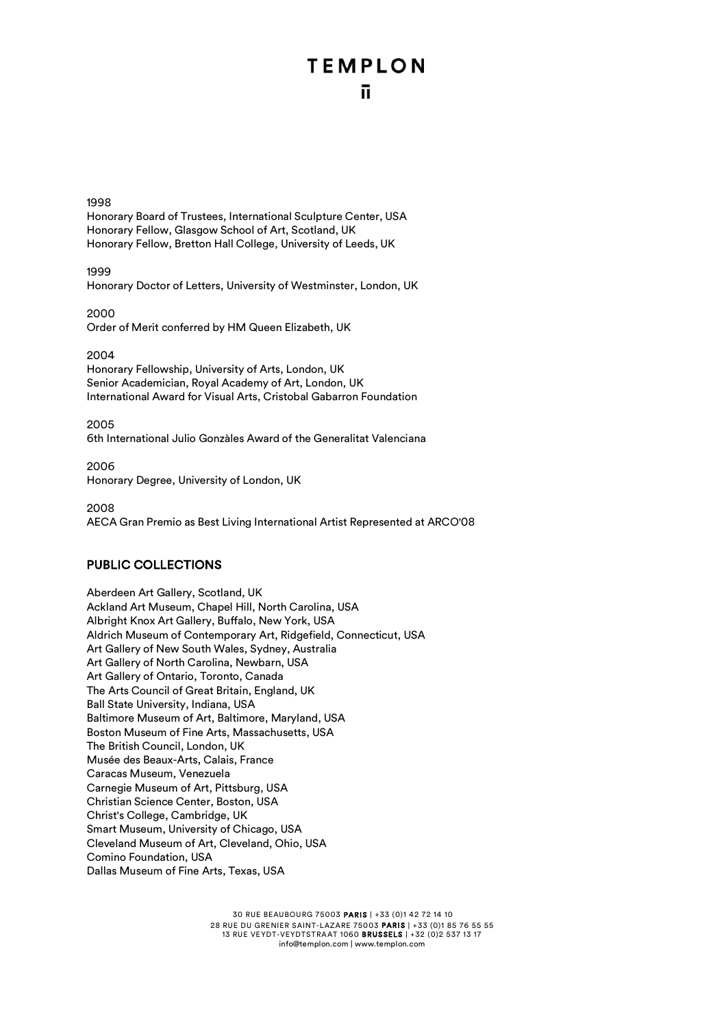### 1998

Honorary Board of Trustees, International Sculpture Center, USA Honorary Fellow, Glasgow School of Art, Scotland, UK Honorary Fellow, Bretton Hall College, University of Leeds, UK

1999 Honorary Doctor of Letters, University of Westminster, London, UK

2000 Order of Merit conferred by HM Queen Elizabeth, UK

### 2004

Honorary Fellowship, University of Arts, London, UK Senior Academician, Royal Academy of Art, London, UK International Award for Visual Arts, Cristobal Gabarron Foundation

2005 6th International Julio Gonzàles Award of the Generalitat Valenciana

2006 Honorary Degree, University of London, UK

2008 AECA Gran Premio as Best Living International Artist Represented at ARCO'08

### PUBLIC COLLECTIONS

Aberdeen Art Gallery, Scotland, UK Ackland Art Museum, Chapel Hill, North Carolina, USA Albright Knox Art Gallery, Buffalo, New York, USA Aldrich Museum of Contemporary Art, Ridgefield, Connecticut, USA Art Gallery of New South Wales, Sydney, Australia Art Gallery of North Carolina, Newbarn, USA Art Gallery of Ontario, Toronto, Canada The Arts Council of Great Britain, England, UK Ball State University, Indiana, USA Baltimore Museum of Art, Baltimore, Maryland, USA Boston Museum of Fine Arts, Massachusetts, USA The British Council, London, UK Musée des Beaux-Arts, Calais, France Caracas Museum, Venezuela Carnegie Museum of Art, Pittsburg, USA Christian Science Center, Boston, USA Christ's College, Cambridge, UK Smart Museum, University of Chicago, USA Cleveland Museum of Art, Cleveland, Ohio, USA Comino Foundation, USA Dallas Museum of Fine Arts, Texas, USA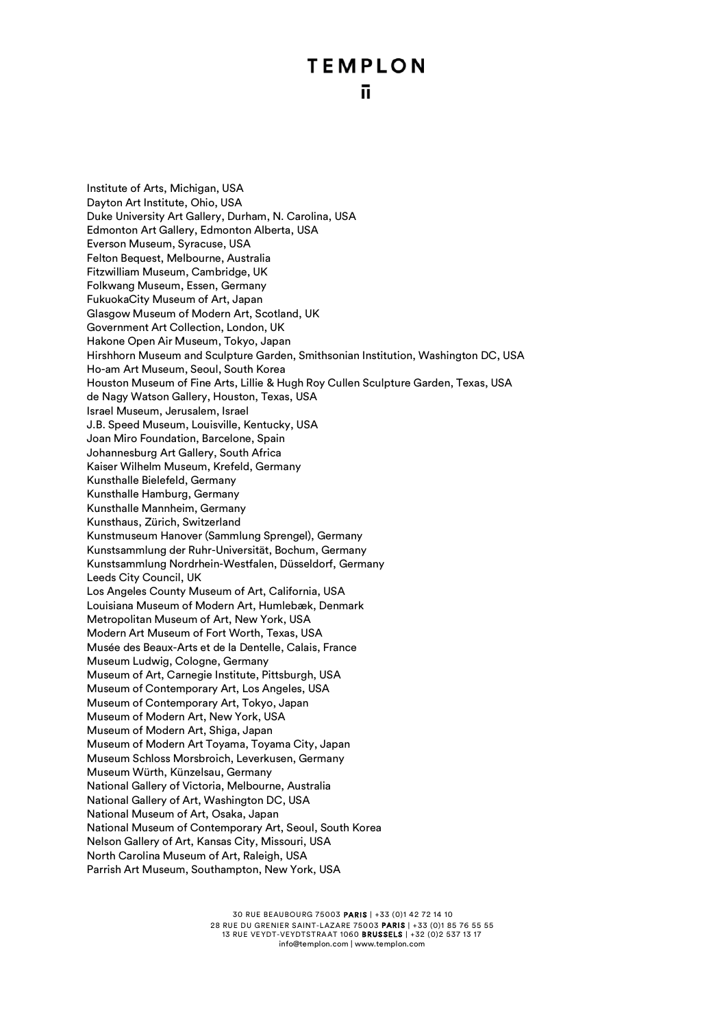Institute of Arts, Michigan, USA Dayton Art Institute, Ohio, USA Duke University Art Gallery, Durham, N. Carolina, USA Edmonton Art Gallery, Edmonton Alberta, USA Everson Museum, Syracuse, USA Felton Bequest, Melbourne, Australia Fitzwilliam Museum, Cambridge, UK Folkwang Museum, Essen, Germany FukuokaCity Museum of Art, Japan Glasgow Museum of Modern Art, Scotland, UK Government Art Collection, London, UK Hakone Open Air Museum, Tokyo, Japan Hirshhorn Museum and Sculpture Garden, Smithsonian Institution, Washington DC, USA Ho-am Art Museum, Seoul, South Korea Houston Museum of Fine Arts, Lillie & Hugh Roy Cullen Sculpture Garden, Texas, USA de Nagy Watson Gallery, Houston, Texas, USA Israel Museum, Jerusalem, Israel J.B. Speed Museum, Louisville, Kentucky, USA Joan Miro Foundation, Barcelone, Spain Johannesburg Art Gallery, South Africa Kaiser Wilhelm Museum, Krefeld, Germany Kunsthalle Bielefeld, Germany Kunsthalle Hamburg, Germany Kunsthalle Mannheim, Germany Kunsthaus, Zürich, Switzerland Kunstmuseum Hanover (Sammlung Sprengel), Germany Kunstsammlung der Ruhr-Universität, Bochum, Germany Kunstsammlung Nordrhein-Westfalen, Düsseldorf, Germany Leeds City Council, UK Los Angeles County Museum of Art, California, USA Louisiana Museum of Modern Art, Humlebæk, Denmark Metropolitan Museum of Art, New York, USA Modern Art Museum of Fort Worth, Texas, USA Musée des Beaux-Arts et de la Dentelle, Calais, France Museum Ludwig, Cologne, Germany Museum of Art, Carnegie Institute, Pittsburgh, USA Museum of Contemporary Art, Los Angeles, USA Museum of Contemporary Art, Tokyo, Japan Museum of Modern Art, New York, USA Museum of Modern Art, Shiga, Japan Museum of Modern Art Toyama, Toyama City, Japan Museum Schloss Morsbroich, Leverkusen, Germany Museum Würth, Künzelsau, Germany National Gallery of Victoria, Melbourne, Australia National Gallery of Art, Washington DC, USA National Museum of Art, Osaka, Japan National Museum of Contemporary Art, Seoul, South Korea Nelson Gallery of Art, Kansas City, Missouri, USA North Carolina Museum of Art, Raleigh, USA Parrish Art Museum, Southampton, New York, USA